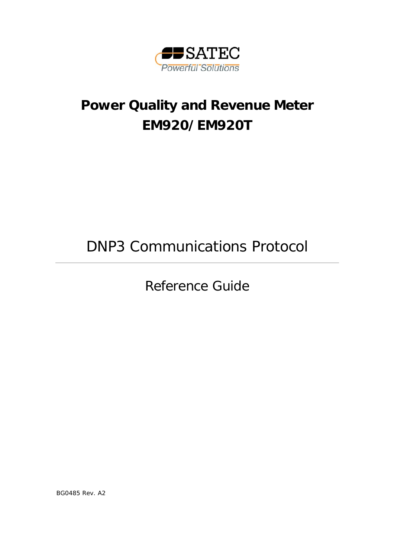

# **Power Quality and Revenue Meter EM920/EM920T**

# DNP3 Communications Protocol

Reference Guide

BG0485 Rev. A2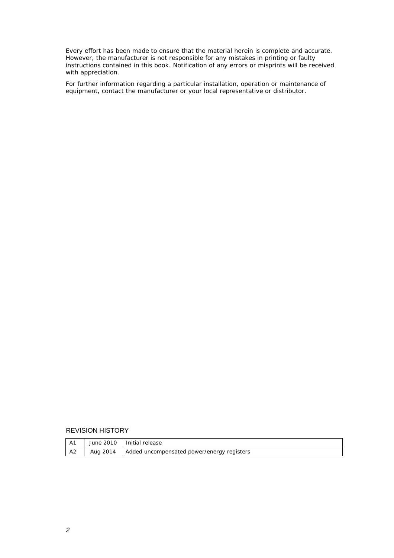Every effort has been made to ensure that the material herein is complete and accurate. However, the manufacturer is not responsible for any mistakes in printing or faulty instructions contained in this book. Notification of any errors or misprints will be received with appreciation.

For further information regarding a particular installation, operation or maintenance of equipment, contact the manufacturer or your local representative or distributor.

#### REVISION HISTORY

| <b>A1</b> |          | June 2010   Initial release                |
|-----------|----------|--------------------------------------------|
| A2        | Aug 2014 | Added uncompensated power/energy registers |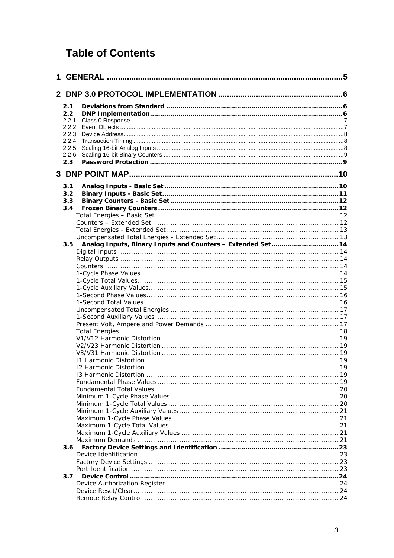## **Table of Contents**

|       |                                                             | .5 |
|-------|-------------------------------------------------------------|----|
|       |                                                             |    |
| 2.1   |                                                             |    |
| 2.2   |                                                             |    |
| 2.2.1 |                                                             |    |
| 2.2.2 |                                                             |    |
| 2.2.3 |                                                             |    |
|       |                                                             |    |
| 2.2.5 |                                                             |    |
| 2.2.6 |                                                             |    |
| 2.3   |                                                             |    |
|       |                                                             |    |
| 3.1   |                                                             |    |
| 3.2   |                                                             |    |
| 3.3   |                                                             |    |
| 3.4   |                                                             |    |
|       |                                                             |    |
|       |                                                             |    |
|       |                                                             |    |
|       |                                                             |    |
| 3.5   | Analog Inputs, Binary Inputs and Counters - Extended Set 14 |    |
|       |                                                             |    |
|       |                                                             |    |
|       |                                                             |    |
|       |                                                             |    |
|       |                                                             |    |
|       |                                                             |    |
|       |                                                             |    |
|       |                                                             |    |
|       |                                                             |    |
|       |                                                             |    |
|       |                                                             |    |
|       |                                                             |    |
|       |                                                             |    |
|       |                                                             |    |
|       |                                                             |    |
|       |                                                             |    |
|       | 12 Harmonic Distortion                                      |    |
|       |                                                             |    |
|       |                                                             |    |
|       |                                                             |    |
|       |                                                             |    |
|       |                                                             |    |
|       |                                                             |    |
|       |                                                             |    |
|       |                                                             |    |
|       |                                                             |    |
| 3.6   |                                                             |    |
|       |                                                             |    |
|       |                                                             |    |
|       |                                                             |    |
| 3.7   |                                                             |    |
|       |                                                             |    |
|       |                                                             |    |
|       |                                                             |    |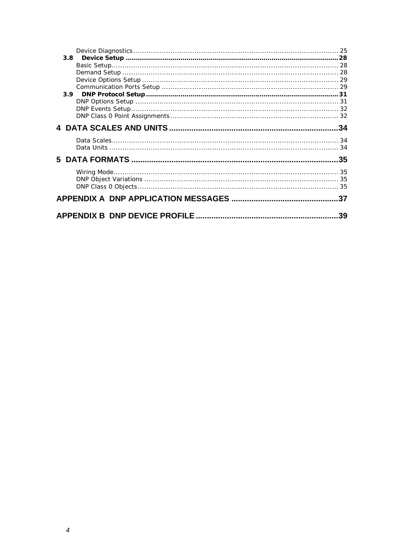|  | 39 |
|--|----|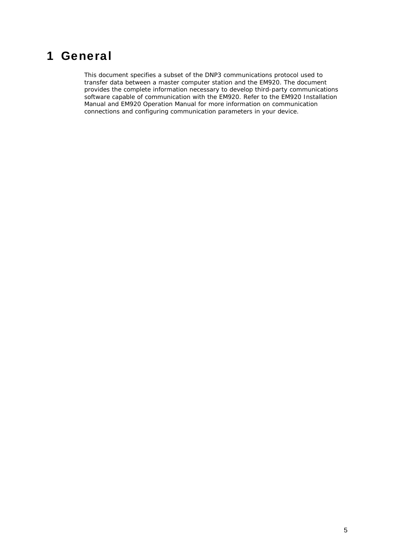## <span id="page-4-0"></span>1 General

This document specifies a subset of the DNP3 communications protocol used to transfer data between a master computer station and the EM920. The document provides the complete information necessary to develop third-party communications software capable of communication with the EM920. Refer to the EM920 Installation Manual and EM920 Operation Manual for more information on communication connections and configuring communication parameters in your device.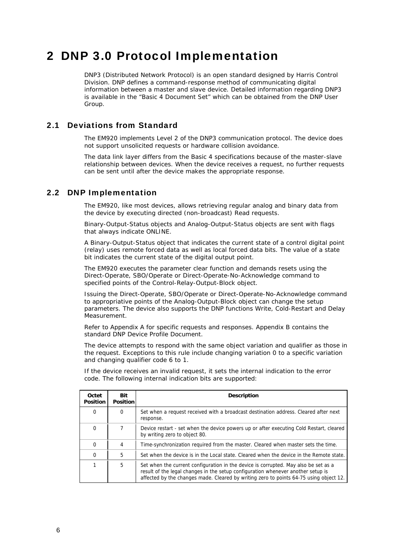## <span id="page-5-0"></span>2 DNP 3.0 Protocol Implementation

DNP3 (Distributed Network Protocol) is an open standard designed by Harris Control Division. DNP defines a command-response method of communicating digital information between a master and slave device. Detailed information regarding DNP3 is available in the "Basic 4 Document Set" which can be obtained from the DNP User Group.

#### <span id="page-5-1"></span>2.1 Deviations from Standard

The EM920 implements Level 2 of the DNP3 communication protocol. The device does not support unsolicited requests or hardware collision avoidance.

The data link layer differs from the Basic 4 specifications because of the master-slave relationship between devices. When the device receives a request, no further requests can be sent until after the device makes the appropriate response.

#### <span id="page-5-2"></span>2.2 DNP Implementation

The EM920, like most devices, allows retrieving regular analog and binary data from the device by executing directed (non-broadcast) Read requests.

Binary-Output-Status objects and Analog-Output-Status objects are sent with flags that always indicate ONLINE.

A Binary-Output-Status object that indicates the current state of a control digital point (relay) uses remote forced data as well as local forced data bits. The value of a state bit indicates the current state of the digital output point.

The EM920 executes the parameter clear function and demands resets using the Direct-Operate, SBO/Operate or Direct-Operate-No-Acknowledge command to specified points of the Control-Relay-Output-Block object.

Issuing the Direct-Operate, SBO/Operate or Direct-Operate-No-Acknowledge command to appropriative points of the Analog-Output-Block object can change the setup parameters. The device also supports the DNP functions Write, Cold-Restart and Delay Measurement.

Refer to Appendix A for specific requests and responses. Appendix B contains the standard DNP Device Profile Document.

The device attempts to respond with the same object variation and qualifier as those in the request. Exceptions to this rule include changing variation 0 to a specific variation and changing qualifier code 6 to 1.

| Octet<br><b>Position</b> | Bit<br><b>Position</b> | <b>Description</b>                                                                                                                                                                                                                                                |
|--------------------------|------------------------|-------------------------------------------------------------------------------------------------------------------------------------------------------------------------------------------------------------------------------------------------------------------|
| 0                        | $\Omega$               | Set when a request received with a broadcast destination address. Cleared after next<br>response.                                                                                                                                                                 |
| 0                        |                        | Device restart - set when the device powers up or after executing Cold Restart, cleared<br>by writing zero to object 80.                                                                                                                                          |
| 0                        | 4                      | Time-synchronization required from the master. Cleared when master sets the time.                                                                                                                                                                                 |
| 0                        | 5                      | Set when the device is in the Local state. Cleared when the device in the Remote state.                                                                                                                                                                           |
|                          | 5                      | Set when the current configuration in the device is corrupted. May also be set as a<br>result of the legal changes in the setup configuration whenever another setup is<br>affected by the changes made. Cleared by writing zero to points 64-75 using object 12. |

If the device receives an invalid request, it sets the internal indication to the error code. The following internal indication bits are supported: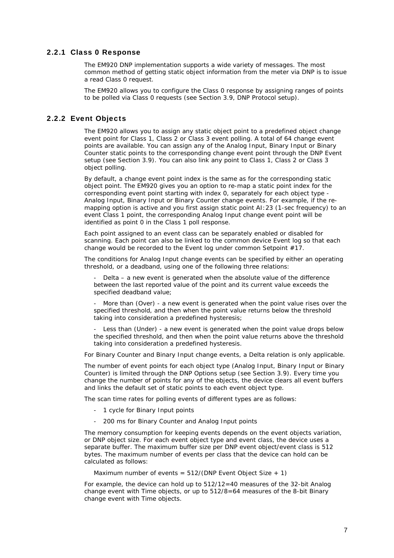#### 2.2.1 Class 0 Response

<span id="page-6-0"></span>The EM920 DNP implementation supports a wide variety of messages. The most common method of getting static object information from the meter via DNP is to issue a read Class 0 request.

The EM920 allows you to configure the Class 0 response by assigning ranges of points to be polled via Class 0 requests (see Section 3.9, DNP Protocol setup).

#### 2.2.2 Event Objects

<span id="page-6-1"></span>The EM920 allows you to assign any static object point to a predefined object change event point for Class 1, Class 2 or Class 3 event polling. A total of 64 change event points are available. You can assign any of the Analog Input, Binary Input or Binary Counter static points to the corresponding change event point through the DNP Event setup (see Section 3.9). You can also link any point to Class 1, Class 2 or Class 3 object polling.

By default, a change event point index is the same as for the corresponding static object point. The EM920 gives you an option to re-map a static point index for the corresponding event point starting with index 0, separately for each object type - Analog Input, Binary Input or Binary Counter change events. For example, if the remapping option is active and you first assign static point AI:23 (1-sec frequency) to an event Class 1 point, the corresponding Analog Input change event point will be identified as point 0 in the Class 1 poll response.

Each point assigned to an event class can be separately enabled or disabled for scanning. Each point can also be linked to the common device Event log so that each change would be recorded to the Event log under common Setpoint #17.

The conditions for Analog Input change events can be specified by either an operating threshold, or a deadband, using one of the following three relations:

Delta  $-$  a new event is generated when the absolute value of the difference between the last reported value of the point and its current value exceeds the specified deadband value;

More than (Over) - a new event is generated when the point value rises over the specified threshold, and then when the point value returns below the threshold taking into consideration a predefined hysteresis;

- Less than (Under) - a new event is generated when the point value drops below the specified threshold, and then when the point value returns above the threshold taking into consideration a predefined hysteresis.

For Binary Counter and Binary Input change events, a Delta relation is only applicable.

The number of event points for each object type (Analog Input, Binary Input or Binary Counter) is limited through the DNP Options setup (see Section 3.9). Every time you change the number of points for any of the objects, the device clears all event buffers and links the default set of static points to each event object type.

The scan time rates for polling events of different types are as follows:

- 1 cycle for Binary Input points
- 200 ms for Binary Counter and Analog Input points

The memory consumption for keeping events depends on the event objects variation, or DNP object size. For each event object type and event class, the device uses a separate buffer. The maximum buffer size per DNP event object/event class is 512 bytes. The maximum number of events per class that the device can hold can be calculated as follows:

Maximum number of events =  $512/(\text{DNP Event Object Size} + 1)$ 

For example, the device can hold up to 512/12=40 measures of the 32-bit Analog change event with Time objects, or up to  $512/8=64$  measures of the 8-bit Binary change event with Time objects.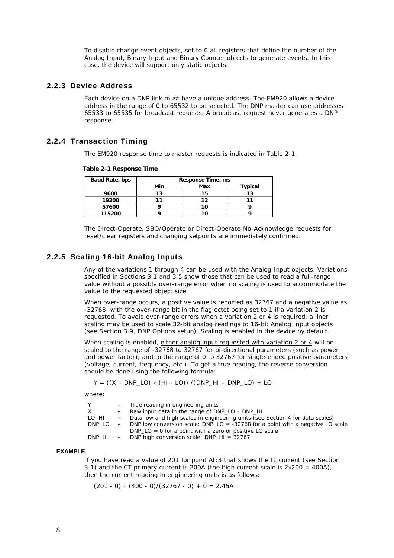To disable change event objects, set to 0 all registers that define the number of the Analog Input, Binary Input and Binary Counter objects to generate events. In this case, the device will support only static objects.

#### 2.2.3 Device Address

<span id="page-7-0"></span>Each device on a DNP link must have a unique address. The EM920 allows a device address in the range of 0 to 65532 to be selected. The DNP master can use addresses 65533 to 65535 for broadcast requests. A broadcast request never generates a DNP response.

#### 2.2.4 Transaction Timing

<span id="page-7-1"></span>The EM920 response time to master requests is indicated in Table 2-1.

 **Table 2-1 Response Time** 

| Baud Rate, bps | <b>Response Time, ms</b> |     |         |  |  |  |
|----------------|--------------------------|-----|---------|--|--|--|
|                | Min                      | Max | Typical |  |  |  |
| 9600           | 13                       | 15  | 13      |  |  |  |
| 19200          |                          | 12  |         |  |  |  |
| 57600          |                          | 10  |         |  |  |  |
| 115200         |                          |     |         |  |  |  |

The Direct-Operate, SBO/Operate or Direct-Operate-No-Acknowledge requests for reset/clear registers and changing setpoints are immediately confirmed.

#### 2.2.5 Scaling 16-bit Analog Inputs

<span id="page-7-2"></span>Any of the variations 1 through 4 can be used with the Analog Input objects. Variations specified in Sections 3.1 and 3.5 show those that can be used to read a full-range value without a possible over-range error when no scaling is used to accommodate the value to the requested object size.

When over-range occurs, a positive value is reported as 32767 and a negative value as -32768, with the over-range bit in the flag octet being set to 1 if a variation 2 is requested. To avoid over-range errors when a variation 2 or 4 is required, a liner scaling may be used to scale 32-bit analog readings to 16-bit Analog Input objects (see Section 3.9, DNP Options setup). Scaling is enabled in the device by default.

When scaling is enabled, either analog input requested with variation 2 or 4 will be scaled to the range of -32768 to 32767 for bi-directional parameters (such as power and power factor), and to the range of 0 to 32767 for single-ended positive parameters (voltage, current, frequency, etc.). To get a true reading, the reverse conversion should be done using the following formula:

$$
Y = ((X - DNP\_LO) \times (HI - LO)) / (DNP\_HI - DNP\_LO) + LO
$$

where:

| Y      |                 | - True reading in engineering units                                                |
|--------|-----------------|------------------------------------------------------------------------------------|
| X.     |                 | - Raw input data in the range of DNP LO - DNP HI                                   |
| LO, HI |                 | - Data low and high scales in engineering units (see Section 4 for data scales)    |
| DNP LO |                 | - DNP low conversion scale: DNP $LO = -32768$ for a point with a negative LO scale |
|        |                 | DNP $LO = 0$ for a point with a zero or positive LO scale                          |
| DNP HI | $\sim$ 10 $\pm$ | DNP high conversion scale: DNP_HI = $32767$                                        |

#### **EXAMPLE**

If you have read a value of 201 for point AI:3 that shows the I1 current (see Section 3.1) and the CT primary current is 200A (the high current scale is  $2 \times 200 = 400$ A), then the current reading in engineering units is as follows:

 $(201 - 0) \times (400 - 0)/(32767 - 0) + 0 = 2.45A$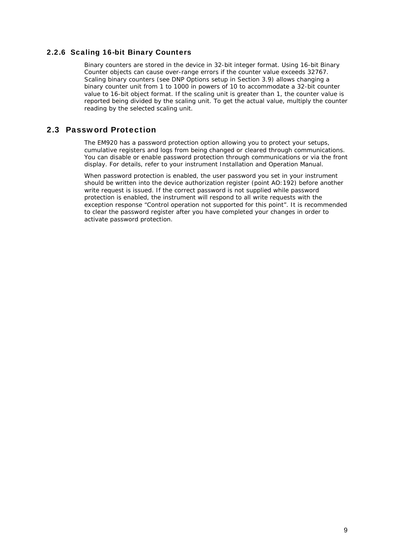#### 2.2.6 Scaling 16-bit Binary Counters

<span id="page-8-0"></span>Binary counters are stored in the device in 32-bit integer format. Using 16-bit Binary Counter objects can cause over-range errors if the counter value exceeds 32767. Scaling binary counters (see DNP Options setup in Section 3.9) allows changing a binary counter unit from 1 to 1000 in powers of 10 to accommodate a 32-bit counter value to 16-bit object format. If the scaling unit is greater than 1, the counter value is reported being divided by the scaling unit. To get the actual value, multiply the counter reading by the selected scaling unit.

#### <span id="page-8-1"></span>2.3 Password Protection

The EM920 has a password protection option allowing you to protect your setups, cumulative registers and logs from being changed or cleared through communications. You can disable or enable password protection through communications or via the front display. For details, refer to your instrument Installation and Operation Manual.

When password protection is enabled, the user password you set in your instrument should be written into the device authorization register (point AO:192) before another write request is issued. If the correct password is not supplied while password protection is enabled, the instrument will respond to all write requests with the exception response "Control operation not supported for this point". It is recommended to clear the password register after you have completed your changes in order to activate password protection.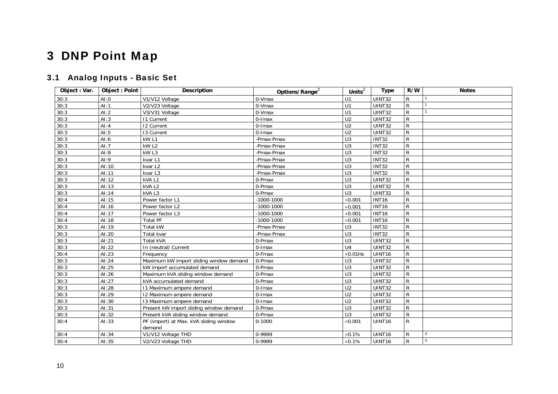# 3 DNP Point Map

## 3.1 Analog Inputs - Basic Set

<span id="page-9-1"></span><span id="page-9-0"></span>

| Object: Var. | <b>Object: Point</b> | Description                                      | Options/Range <sup>2</sup> | Units <sup>2</sup> | <b>Type</b>   | R/W | <b>Notes</b>   |
|--------------|----------------------|--------------------------------------------------|----------------------------|--------------------|---------------|-----|----------------|
| 30:3         | AI:0                 | V1/V12 Voltage                                   | 0-Vmax                     | U1                 | <b>UINT32</b> | R   |                |
| 30:3         | AI:1                 | $\sqrt{2}/V23$ Voltage                           | 0-Vmax                     | U1                 | UINT32        | R   |                |
| 30:3         | AI:2                 | V3/V31 Voltage                                   | 0-Vmax                     | U1                 | <b>UINT32</b> | R.  |                |
| 30:3         | AI:3                 | <b>11 Current</b>                                | $0$ -Imax                  | U <sub>2</sub>     | UINT32        | R   |                |
| 30:3         | AI:4                 | 12 Current                                       | 0-Imax                     | $\overline{U2}$    | UINT32        | R   |                |
| 30:3         | AI:5                 | 13 Current                                       | $0$ -Imax                  | U <sub>2</sub>     | UINT32        | R   |                |
| 30:3         | AI:6                 | kW <sub>L1</sub>                                 | -Pmax-Pmax                 | $\overline{U}$     | <b>INT32</b>  | R   |                |
| 30:3         | AI:7                 | kW <sub>L2</sub>                                 | -Pmax-Pmax                 | U <sub>3</sub>     | <b>INT32</b>  | R   |                |
| 30:3         | AI:8                 | kW <sub>L3</sub>                                 | -Pmax-Pmax                 | $\overline{U}$ 3   | <b>INT32</b>  | R   |                |
| 30:3         | AI:9                 | kvar L1                                          | -Pmax-Pmax                 | U <sub>3</sub>     | <b>INT32</b>  | R   |                |
| 30:3         | AI:10                | kvar L2                                          | -Pmax-Pmax                 | $\overline{U}$     | <b>INT32</b>  | R   |                |
| 30:3         | AI:11                | kvar L3                                          | -Pmax-Pmax                 | $\overline{U}$ 3   | <b>INT32</b>  | R   |                |
| 30:3         | AI:12                | kVAL1                                            | 0-Pmax                     | $\overline{U}$     | UINT32        | R   |                |
| 30:3         | AI:13                | kVA L2                                           | 0-Pmax                     | $\overline{U}$     | UINT32        | R   |                |
| 30:3         | AI:14                | kVAL3                                            | 0-Pmax                     | $\overline{U}$ 3   | UINT32        | R   |                |
| 30:4         | AI:15                | Power factor L1                                  | $-1000 - 1000$             | $\times$ 0.001     | <b>INT16</b>  | R   |                |
| 30:4         | AI:16                | Power factor L2                                  | $-1000 - 1000$             | $\times$ 0.001     | <b>INT16</b>  | R   |                |
| 30:4         | AI:17                | Power factor L3                                  | $-1000 - 1000$             | $\times$ 0.001     | <b>INT16</b>  | R   |                |
| 30:4         | AI:18                | <b>Total PF</b>                                  | $-1000 - 1000$             | $\times$ 0.001     | <b>INT16</b>  | R   |                |
| 30:3         | AI:19                | <b>Total kW</b>                                  | -Pmax-Pmax                 | U <sub>3</sub>     | <b>INT32</b>  | R   |                |
| 30:3         | AI:20                | <b>Total kvar</b>                                | -Pmax-Pmax                 | U <sub>3</sub>     | <b>INT32</b>  | R   |                |
| 30:3         | AI:21                | <b>Total kVA</b>                                 | 0-Pmax                     | U <sub>3</sub>     | UINT32        | R   |                |
| 30:3         | AI:22                | In (neutral) Current                             | $0$ -Imax                  | U <sub>4</sub>     | UINT32        | R.  |                |
| 30:4         | AI:23                | Frequency                                        | 0-Fmax                     | $\times 0.01$ Hz   | UINT16        | R   |                |
| 30:3         | AI:24                | Maximum kW import sliding window demand          | 0-Pmax                     | U <sub>3</sub>     | <b>UINT32</b> | R   |                |
| 30:3         | AI:25                | kW import accumulated demand                     | 0-Pmax                     | U <sub>3</sub>     | UINT32        | R   |                |
| 30:3         | AI:26                | Maximum kVA sliding window demand                | 0-Pmax                     | $\overline{U}$ 3   | UINT32        | R   |                |
| 30:3         | AI:27                | kVA accumulated demand                           | 0-Pmax                     | U <sub>3</sub>     | UINT32        | R   |                |
| 30:3         | AI:28                | 11 Maximum ampere demand                         | $0$ -Imax                  | U <sub>2</sub>     | UINT32        | R   |                |
| 30:3         | AI:29                | 12 Maximum ampere demand                         | 0-Imax                     | $\overline{U2}$    | <b>UINT32</b> | R   |                |
| 30:3         | AI:30                | 13 Maximum ampere demand                         | 0-Imax                     | $\overline{U}$     | UINT32        | R   |                |
| 30:3         | AI:31                | Present kW import sliding window demand          | 0-Pmax                     | $\overline{U}$     | UINT32        | R   |                |
| 30:3         | AI:32                | Present kVA sliding window demand                | 0-Pmax                     | U <sub>3</sub>     | <b>UINT32</b> | R   |                |
| 30:4         | AI:33                | PF (import) at Max. kVA sliding window<br>demand | $0 - 1000$                 | $\times$ 0.001     | <b>UINT16</b> | R   |                |
| 30:4         | AI:34                | V1/V12 Voltage THD                               | 0-9999                     | $\times$ 0.1%      | UINT16        | R   | 3              |
| 30:4         | AI:35                | V2/V23 Voltage THD                               | 0-9999                     | $\times 0.1\%$     | UINT16        | R   | $\overline{3}$ |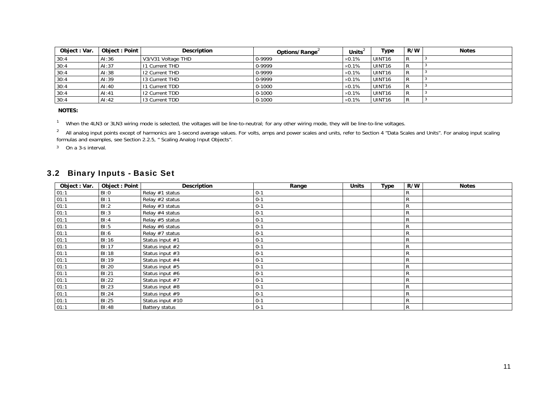| Object: Var. | Object: Point | <b>Description</b> | Options/Range | Units $\check{}$ | Гуре               | R/W | <b>Notes</b> |
|--------------|---------------|--------------------|---------------|------------------|--------------------|-----|--------------|
| 30:4         | AI:36         | V3/V31 Voltage THD | 0-9999        | $\times$ 0.1%    | UINT <sub>16</sub> | R   |              |
| 30:4         | AI:37         | Current THD        | 0-9999        | $\times$ 0.1%    | UINT <sub>16</sub> |     |              |
| 30:4         | AI:38         | 12 Current THD     | 0-9999        | $\times$ 0.1%    | UINT <sub>16</sub> | R   |              |
| 30:4         | AI:39         | 13 Current THD     | 0-9999        | $\times$ 0.1%    | UINT <sub>16</sub> | R   |              |
| 30:4         | AI:40         | Current TDD        | $0 - 1000$    | $\times$ 0.1%    | UINT <sub>16</sub> |     |              |
| 30:4         | AI:41         | 12 Current TDD     | $0 - 1000$    | $\times$ 0.1%    | UINT <sub>16</sub> |     |              |
| 30:4         | AI:42         | 13 Current TDD     | $0 - 1000$    | $\times$ 0.1%    | UINT <sub>16</sub> | R   |              |

 **NOTES:** 

<sup>1</sup> When the 4LN3 or 3LN3 wiring mode is selected, the voltages will be line-to-neutral; for any other wiring mode, they will be line-to-line voltages.

<sup>2</sup> All analog input points except of harmonics are 1-second average values. For volts, amps and power scales and units, refer to Section 4 "Data Scales and Units". For analog input scaling formulas and examples, see Section 2.2.5, " Scaling Analog Input Objects".

3 On a 3-s interval.

#### 3.2 Binary Inputs - Basic Set

<span id="page-10-0"></span>

| Object: Var. | Object : Point | Description           | Range   | <b>Units</b> | Type | R/W<br><b>Notes</b> |
|--------------|----------------|-----------------------|---------|--------------|------|---------------------|
| 01:1         | BI:0           | Relay #1 status       | $0 - 1$ |              |      | R                   |
| 01:1         | BI:1           | Relay #2 status       | $0 - 1$ |              |      | R                   |
| 01:1         | BI:2           | Relay #3 status       | $0 - 1$ |              |      | R                   |
| 01:1         | BI:3           | Relay #4 status       | $0 - 1$ |              |      | R                   |
| 01:1         | BI:4           | Relay #5 status       | $0 - 1$ |              |      | R                   |
| 01:1         | BI:5           | Relay #6 status       | $0 - 1$ |              |      | $\mathsf{R}$        |
| 01:1         | BI:6           | Relay #7 status       | $0 - 1$ |              |      | R                   |
| 01:1         | BI:16          | Status input #1       | $0 - 1$ |              |      | R                   |
| 01:1         | BI:17          | Status input #2       | $0 - 1$ |              |      | R                   |
| 01:1         | BI:18          | Status input #3       | $0 - 1$ |              |      | R                   |
| 01:1         | BI:19          | Status input #4       | $0 - 1$ |              |      | R                   |
| 01:1         | BI:20          | Status input #5       | $0 - 1$ |              |      | $\mathsf{R}$        |
| 01:1         | BI:21          | Status input #6       | $0 - 1$ |              |      | R                   |
| 01:1         | BI:22          | Status input #7       | $0 - 1$ |              |      | $\mathsf{R}$        |
| 01:1         | BI:23          | Status input #8       | $0 - 1$ |              |      | R                   |
| 01:1         | BI:24          | Status input #9       | $0 - 1$ |              |      | $\mathsf{R}$        |
| 01:1         | BI:25          | Status input #10      | $0 - 1$ |              |      | $\mathsf{R}$        |
| 01:1         | BI:48          | <b>Battery status</b> | $0 - 1$ |              |      | $\mathsf{R}$        |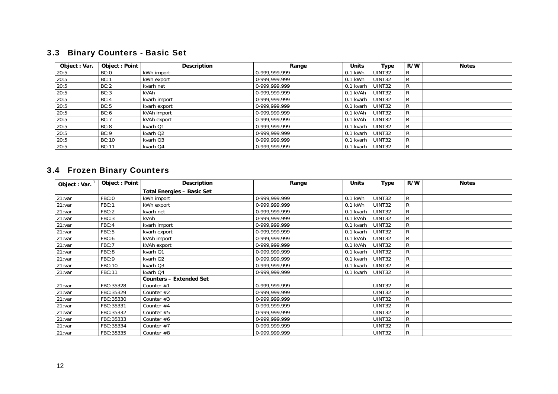### 3.3 Binary Counters - Basic Set

| Object: Var. | <b>Object: Point</b> | Description  | Range         | <b>Units</b> | Type   | R/W | <b>Notes</b> |
|--------------|----------------------|--------------|---------------|--------------|--------|-----|--------------|
| 20:5         | BC:0                 | kWh import   | 0-999,999,999 | $0.1$ kWh    | UINT32 | R   |              |
| 20:5         | BC:1                 | kWh export   | 0-999,999,999 | $0.1$ kWh    | UINT32 | R   |              |
| 20:5         | BC:2                 | kvarh net    | 0-999,999,999 | 0.1 kvarh    | UINT32 | R   |              |
| 20:5         | BC:3                 | kVAh         | 0-999,999,999 | $0.1$ kVAh   | UINT32 | R   |              |
| 20:5         | BC:4                 | kvarh import | 0-999.999.999 | 0.1 kvarh    | UINT32 | R   |              |
| 20:5         | BC:5                 | kvarh export | 0-999,999,999 | 0.1 kvarh    | UINT32 | R   |              |
| 20:5         | BC:6                 | kVAh import  | 0-999,999,999 | 0.1 kVAh     | UINT32 | R   |              |
| 20:5         | BC:7                 | kVAh export  | 0-999,999,999 | 0.1 kVAh     | UINT32 | R   |              |
| 20:5         | BC:8                 | kvarh Q1     | 0-999,999,999 | 0.1 kvarh    | UINT32 | R   |              |
| 20:5         | BC:9                 | kvarh Q2     | 0-999,999,999 | 0.1 kvarh    | UINT32 | R   |              |
| 20:5         | BC:10                | kvarh Q3     | 0-999.999.999 | 0.1 kvarh    | UINT32 | R   |              |
| 20:5         | <b>BC:11</b>         | kvarh Q4     | 0-999.999.999 | 0.1 kvarh    | UINT32 | R   |              |

### 3.4 Frozen Binary Counters

<span id="page-11-3"></span><span id="page-11-2"></span><span id="page-11-1"></span><span id="page-11-0"></span>

| Object : Var. | Object: Point | Description                       | Range         | <b>Units</b> | Type          | R/W          | <b>Notes</b> |
|---------------|---------------|-----------------------------------|---------------|--------------|---------------|--------------|--------------|
|               |               | <b>Total Energies - Basic Set</b> |               |              |               |              |              |
| 21:var        | FBC:0         | kWh import                        | 0-999,999,999 | $0.1$ kWh    | UINT32        | R            |              |
| 21:var        | FBC:1         | kWh export                        | 0-999,999,999 | 0.1 kWh      | UINT32        | R            |              |
| 21:var        | FBC:2         | kvarh net                         | 0-999,999,999 | 0.1 kvarh    | UINT32        | R            |              |
| 21:var        | FBC:3         | kVAh                              | 0-999,999,999 | 0.1 kVAh     | UINT32        | R            |              |
| 21:var        | FBC:4         | kvarh import                      | 0-999,999,999 | 0.1 kvarh    | UINT32        | $\mathsf{R}$ |              |
| 21:var        | FBC:5         | kvarh export                      | 0-999,999,999 | 0.1 kvarh    | UINT32        | $\mathsf{R}$ |              |
| 21:var        | FBC:6         | kVAh import                       | 0-999,999,999 | 0.1 kVAh     | UINT32        | R            |              |
| 21:var        | FBC:7         | kVAh export                       | 0-999,999,999 | 0.1 kVAh     | UINT32        | R            |              |
| 21:var        | FBC:8         | kvarh Q1                          | 0-999,999,999 | 0.1 kvarh    | UINT32        | R            |              |
| 21:var        | FBC:9         | kvarh Q2                          | 0-999,999,999 | 0.1 kvarh    | UINT32        | $\mathsf{R}$ |              |
| 21:var        | <b>FBC:10</b> | kvarh Q3                          | 0-999,999,999 | 0.1 kvarh    | UINT32        | $\mathsf{R}$ |              |
| 21:var        | <b>FBC:11</b> | kvarh Q4                          | 0-999,999,999 | 0.1 kvarh    | UINT32        | $\mathsf{R}$ |              |
|               |               | <b>Counters - Extended Set</b>    |               |              |               |              |              |
| 21:var        | FBC:35328     | Counter #1                        | 0-999,999,999 |              | UINT32        | R            |              |
| 21:var        | FBC:35329     | Counter #2                        | 0-999,999,999 |              | <b>UINT32</b> | R            |              |
| 21:var        | FBC:35330     | Counter $#3$                      | 0-999,999,999 |              | <b>UINT32</b> | $\mathsf{R}$ |              |
| 21:var        | FBC:35331     | Counter #4                        | 0-999,999,999 |              | UINT32        | R            |              |
| 21:var        | FBC:35332     | Counter #5                        | 0-999,999,999 |              | UINT32        | R            |              |
| 21:var        | FBC:35333     | Counter $#6$                      | 0-999,999,999 |              | UINT32        | $\mathsf R$  |              |
| 21:var        | FBC:35334     | Counter #7                        | 0-999,999,999 |              | UINT32        | $\mathsf R$  |              |
| 21:var        | FBC:35335     | Counter #8                        | 0-999,999,999 |              | UINT32        | R            |              |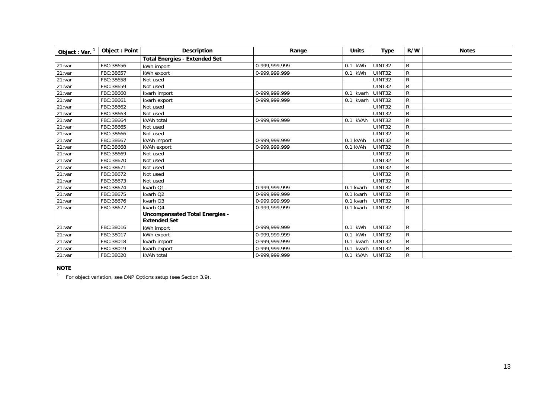| Object: Var. | Object: Point | <b>Description</b>                                           | Range         | <b>Units</b>    | <b>Type</b>   | R/W          | <b>Notes</b> |
|--------------|---------------|--------------------------------------------------------------|---------------|-----------------|---------------|--------------|--------------|
|              |               | <b>Total Energies - Extended Set</b>                         |               |                 |               |              |              |
| 21:var       | FBC:38656     | kWh import                                                   | 0-999,999,999 | 0.1 kWh         | <b>UINT32</b> | R            |              |
| 21:var       | FBC:38657     | kWh export                                                   | 0-999.999.999 | 0.1 kWh         | <b>UINT32</b> | R            |              |
| 21:var       | FBC:38658     | Not used                                                     |               |                 | <b>UINT32</b> | $\mathsf{R}$ |              |
| 21:var       | FBC:38659     | Not used                                                     |               |                 | <b>UINT32</b> | R            |              |
| 21:var       | FBC:38660     | kvarh import                                                 | 0-999,999,999 | 0.1 kvarh       | <b>UINT32</b> | R            |              |
| 21:var       | FBC:38661     | kvarh export                                                 | 0-999,999,999 | 0.1 kvarh       | UINT32        | R            |              |
| 21:var       | FBC:38662     | Not used                                                     |               |                 | <b>UINT32</b> | R            |              |
| 21:var       | FBC:38663     | Not used                                                     |               |                 | <b>UINT32</b> | $\mathsf{R}$ |              |
| 21:var       | FBC:38664     | kVAh total                                                   | 0-999,999,999 | 0.1 kVAh        | UINT32        | R            |              |
| 21:var       | FBC:38665     | Not used                                                     |               |                 | <b>UINT32</b> | $\mathsf{R}$ |              |
| 21:var       | FBC:38666     | Not used                                                     |               |                 | <b>UINT32</b> | R            |              |
| 21:var       | FBC:38667     | kVAh import                                                  | 0-999.999.999 | 0.1 kVAh        | UINT32        | R            |              |
| 21:var       | FBC:38668     | kVAh export                                                  | 0-999.999.999 | 0.1 kVAh        | <b>UINT32</b> | R            |              |
| 21:var       | FBC:38669     | Not used                                                     |               |                 | <b>UINT32</b> | $\mathsf{R}$ |              |
| 21:var       | FBC:38670     | Not used                                                     |               |                 | <b>UINT32</b> | R            |              |
| 21:var       | FBC:38671     | Not used                                                     |               |                 | <b>UINT32</b> | R            |              |
| 21:var       | FBC:38672     | Not used                                                     |               |                 | <b>UINT32</b> | R            |              |
| 21:var       | FBC:38673     | Not used                                                     |               |                 | UINT32        | R            |              |
| 21:var       | FBC:38674     | kvarh Q1                                                     | 0-999,999,999 | 0.1 kvarh       | UINT32        | ${\sf R}$    |              |
| 21:var       | FBC:38675     | kvarh Q2                                                     | 0-999.999.999 | 0.1 kvarh       | UINT32        | R            |              |
| 21:var       | FBC: 38676    | kvarh Q3                                                     | 0-999,999,999 | 0.1 kvarh       | <b>UINT32</b> | R            |              |
| 21:var       | FBC:38677     | kvarh Q4                                                     | 0-999,999,999 | 0.1 kvarh       | UINT32        | R            |              |
|              |               | <b>Uncompensated Total Energies -</b><br><b>Extended Set</b> |               |                 |               |              |              |
| 21:var       | FBC:38016     | kWh import                                                   | 0-999,999,999 | 0.1 kWh         | UINT32        | R            |              |
| 21:var       | FBC:38017     | kWh export                                                   | 0-999,999,999 | 0.1 kWh         | <b>UINT32</b> | R            |              |
| 21:var       | FBC:38018     | kvarh import                                                 | 0-999,999,999 | kvarh<br>0.1    | UINT32        | ${\sf R}$    |              |
| 21:var       | FBC:38019     | kvarh export                                                 | 0-999,999,999 | 0.1             | kvarh UINT32  | R            |              |
| 21:var       | FBC:38020     | kVAh total                                                   | 0-999,999,999 | 0.1 kVAh UINT32 |               | $\mathsf{R}$ |              |

#### **NOTE**

<span id="page-12-1"></span><span id="page-12-0"></span><sup>1</sup> For object variation, see DNP Options setup (see Section 3.9).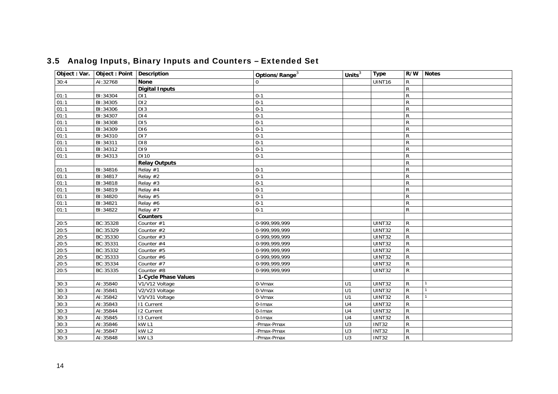<span id="page-13-4"></span><span id="page-13-3"></span><span id="page-13-2"></span><span id="page-13-1"></span><span id="page-13-0"></span>

| Object: Var. | Object: Point   Description |                          | Options/Range <sup>3</sup> | Units $3$      | <b>Type</b>   | R/W            | <b>Notes</b> |
|--------------|-----------------------------|--------------------------|----------------------------|----------------|---------------|----------------|--------------|
| 30:4         | AI:32768                    | <b>None</b>              | $\Omega$                   |                | UINT16        | R              |              |
|              |                             | <b>Digital Inputs</b>    |                            |                |               | R              |              |
| 01:1         | BI:34304                    | D <sub>11</sub>          | $0 - 1$                    |                |               | R              |              |
| 01:1         | BI:34305                    | DI2                      | $0 - 1$                    |                |               | R              |              |
| 01:1         | BI:34306                    | DI3                      | $0 - 1$                    |                |               | R              |              |
| 01:1         | BI:34307                    | DI4                      | $0 - 1$                    |                |               | $\mathsf{R}$   |              |
| 01:1         | BI:34308                    | D <sub>15</sub>          | $0 - 1$                    |                |               | R              |              |
| 01:1         | BI:34309                    | DI <sub>6</sub>          | $0 - 1$                    |                |               | R              |              |
| 01:1         | BI:34310                    | DI7                      | $0 - 1$                    |                |               | R              |              |
| 01:1         | BI:34311                    | D <sub>18</sub>          | $0 - 1$                    |                |               | $\mathsf{R}$   |              |
| 01:1         | BI:34312                    | DI9                      | $0 - 1$                    |                |               | R              |              |
| 01:1         | BI:34313                    | D110                     | $0 - 1$                    |                |               | R              |              |
|              |                             | <b>Relay Outputs</b>     |                            |                |               | R              |              |
| 01:1         | BI:34816                    | Relay #1                 | $0 - 1$                    |                |               | $\mathsf{R}$   |              |
| 01:1         | BI:34817                    | Relay #2                 | $0 - 1$                    |                |               | R              |              |
| 01:1         | BI:34818                    | Relay #3                 | $0 - 1$                    |                |               | R              |              |
| 01:1         | BI:34819                    | Relay #4                 | $0 - 1$                    |                |               | R              |              |
| 01:1         | BI:34820                    | Relay #5                 | $0 - 1$                    |                |               | R              |              |
| 01:1         | BI:34821                    | Relay #6                 | $0 - 1$                    |                |               | R              |              |
| 01:1         | BI:34822                    | Relay #7                 | $0 - 1$                    |                |               | $\mathsf{R}$   |              |
|              |                             | <b>Counters</b>          |                            |                |               |                |              |
| 20:5         | BC:35328                    | Counter #1               | 0-999,999,999              |                | <b>UINT32</b> | R              |              |
| 20:5         | BC:35329                    | Counter #2               | 0-999,999,999              |                | <b>UINT32</b> | $\mathsf{R}$   |              |
| 20:5         | BC:35330                    | Counter #3               | 0-999,999,999              |                | <b>UINT32</b> | $\mathsf R$    |              |
| 20:5         | BC:35331                    | Counter #4               | 0-999,999,999              |                | <b>UINT32</b> | R              |              |
| 20:5         | BC:35332                    | Counter #5               | 0-999,999,999              |                | <b>UINT32</b> | R              |              |
| 20:5         | BC:35333                    | Counter #6               | 0-999,999,999              |                | <b>UINT32</b> | $\overline{R}$ |              |
| 20:5         | BC:35334                    | Counter #7               | 0-999,999,999              |                | <b>UINT32</b> | R              |              |
| 20:5         | BC:35335                    | Counter $\overline{\#8}$ | 0-999,999,999              |                | UINT32        | $\mathsf{R}$   |              |
|              |                             | 1-Cycle Phase Values     |                            |                |               |                |              |
| 30:3         | AI:35840                    | V1/V12 Voltage           | 0-Vmax                     | U1             | UINT32        | R              |              |
| 30:3         | AI:35841                    | V2/V23 Voltage           | 0-Vmax                     | U1             | <b>UINT32</b> | R              |              |
| 30:3         | AI:35842                    | V3/V31 Voltage           | 0-Vmax                     | U1             | UINT32        | R              |              |
| 30:3         | AI:35843                    | <b>11 Current</b>        | 0-Imax                     | U <sub>4</sub> | <b>UINT32</b> | R              |              |
| 30:3         | AI:35844                    | 12 Current               | 0-Imax                     | $U$ 4          | <b>UINT32</b> | $\mathsf{R}$   |              |
| 30:3         | AI:35845                    | 13 Current               | 0-Imax                     | $U$ 4          | UINT32        | R              |              |
| 30:3         | AI:35846                    | kW <sub>L1</sub>         | -Pmax-Pmax                 | U3             | <b>INT32</b>  | R              |              |
| 30:3         | AI:35847                    | kW <sub>L2</sub>         | -Pmax-Pmax                 | U3             | <b>INT32</b>  | R              |              |
| 30:3         | AI:35848                    | $kW$ L <sub>3</sub>      | -Pmax-Pmax                 | U <sub>3</sub> | <b>INT32</b>  | $\mathsf{R}$   |              |

## 3.5 Analog Inputs, Binary Inputs and Counters – Extended Set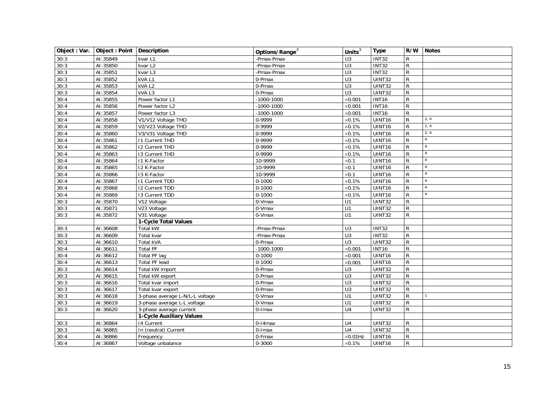<span id="page-14-1"></span><span id="page-14-0"></span>

| Object: Var. | Object: Point   Description |                                 | Options/Range <sup>3</sup> | Units $3$        | <b>Type</b>   |                | R/W Notes              |
|--------------|-----------------------------|---------------------------------|----------------------------|------------------|---------------|----------------|------------------------|
| 30:3         | AI:35849                    | kvar L1                         | -Pmax-Pmax                 | U <sub>3</sub>   | <b>INT32</b>  | R              |                        |
| 30:3         | AI:35850                    | kvar L2                         | -Pmax-Pmax                 | U3               | INT32         | $\mathsf{R}$   |                        |
| 30:3         | AI:35851                    | kvar L3                         | -Pmax-Pmax                 | U3               | <b>INT32</b>  | ${\sf R}$      |                        |
| 30:3         | AI:35852                    | kVAL1                           | 0-Pmax                     | U3               | UINT32        | $\overline{R}$ |                        |
| 30:3         | AI:35853                    | kVAL2                           | 0-Pmax                     | U3               | UINT32        | $\overline{R}$ |                        |
| 30:3         | AI:35854                    | kVAL3                           | $\overline{0}$ -Pmax       | $\overline{U}$ 3 | UINT32        | $\overline{R}$ |                        |
| 30:4         | AI:35855                    | Power factor L1                 | $-1000 - 1000$             | $\times 0.001$   | <b>INT16</b>  | ${\sf R}$      |                        |
| 30:4         | AI:35856                    | Power factor L2                 | $-1000 - 1000$             | $\times$ 0.001   | <b>INT16</b>  | ${\sf R}$      |                        |
| 30:4         | AI:35857                    | Power factor L3                 | $-1000 - 1000$             | $\times$ 0.001   | <b>INT16</b>  | $\overline{R}$ |                        |
| 30:4         | AI:35858                    | V1/V12 Voltage THD              | 0-9999                     | $\times 0.1\%$   | UINT16        | $\mathsf{R}$   | 2, 4                   |
| 30:4         | AI:35859                    | V2/V23 Voltage THD              | 0-9999                     | $\times 0.1\%$   | UINT16        | ${\sf R}$      | 2, 4                   |
| 30:4         | AI:35860                    | V3/V31 Voltage THD              | 0-9999                     | $\times$ 0.1%    | UINT16        | $\overline{R}$ | 2, 4                   |
| 30:4         | AI:35861                    | <b>11 Current THD</b>           | 0-9999                     | $\times 0.1\%$   | UINT16        | ${\sf R}$      | $\overline{4}$         |
| 30:4         | AI:35862                    | <b>I2 Current THD</b>           | 0-9999                     | $\times 0.1\%$   | UINT16        | $\mathsf{R}$   |                        |
| 30:4         | AI:35863                    | 13 Current THD                  | 0-9999                     | $\times$ 0.1%    | UINT16        | ${\sf R}$      |                        |
| 30:4         | AI:35864                    | 11 K-Factor                     | 10-9999                    | $\times 0.1$     | UINT16        | ${\sf R}$      | $\boldsymbol{\Lambda}$ |
| 30:4         | AI:35865                    | 12 K-Factor                     | 10-9999                    | $\times$ 0.1     | UINT16        | ${\sf R}$      |                        |
| 30:4         | AI:35866                    | 13 K-Factor                     | 10-9999                    | $\times$ 0.1     | UINT16        | ${\sf R}$      | $\boldsymbol{\Lambda}$ |
| 30:4         | AI:35867                    | <b>11 Current TDD</b>           | $0 - 1000$                 | $\times$ 0.1%    | UINT16        | $\mathsf{R}$   |                        |
| 30:4         | AI:35868                    | 12 Current TDD                  | $0 - 1000$                 | $\times 0.1\%$   | UINT16        | R              | $\overline{4}$         |
| 30:4         | AI:35869                    | 13 Current TDD                  | $0 - 1000$                 | $\times 0.1\%$   | UINT16        | ${\sf R}$      | $\overline{4}$         |
| 30:3         | AI:35870                    | V12 Voltage                     | 0-Vmax                     | U1               | <b>UINT32</b> | $\overline{R}$ |                        |
| 30:3         | AI:35871                    | V23 Voltage                     | $0-Vmax$                   | U1               | UINT32        | ${\sf R}$      |                        |
| 30:3         | AI:35872                    | V31 Voltage                     | 0-Vmax                     | U1               | UINT32        | ${\sf R}$      |                        |
|              |                             | 1-Cycle Total Values            |                            |                  |               |                |                        |
| 30:3         | AI:36608                    | Total kW                        | -Pmax-Pmax                 | U3               | <b>INT32</b>  | $\mathsf{R}$   |                        |
| 30:3         | AI:36609                    | Total kvar                      | -Pmax-Pmax                 | U3               | <b>INT32</b>  | ${\sf R}$      |                        |
| 30:3         | AI:36610                    | Total kVA                       | 0-Pmax                     | U3               | UINT32        | $\overline{R}$ |                        |
| 30:4         | AI:36611                    | <b>Total PF</b>                 | $-1000 - 1000$             | $\times$ 0.001   | <b>INT16</b>  | $\mathsf{R}$   |                        |
| 30:4         | AI:36612                    | Total PF lag                    | $0 - 1000$                 | $\times 0.001$   | UINT16        | $\overline{R}$ |                        |
| 30:4         | AI:36613                    | <b>Total PF lead</b>            | $0 - 1000$                 | $\times$ 0.001   | UINT16        | ${\sf R}$      |                        |
| 30:3         | AI:36614                    | Total kW import                 | 0-Pmax                     | U3               | UINT32        | ${\sf R}$      |                        |
| 30:3         | AI:36615                    | Total kW export                 | 0-Pmax                     | $\overline{U}$   | UINT32        | $\overline{R}$ |                        |
| 30:3         | AI:36616                    | Total kvar import               | 0-Pmax                     | $\overline{U}$   | UINT32        | ${\sf R}$      |                        |
| 30:3         | AI:36617                    | Total kvar export               | 0-Pmax                     | $\overline{U}$ 3 | UINT32        | ${\sf R}$      |                        |
| 30:3         | AI:36618                    | 3-phase average L-N/L-L voltage | 0-Vmax                     | U1               | UINT32        | ${\sf R}$      |                        |
| 30:3         | AI:36619                    | 3-phase average L-L voltage     | 0-Vmax                     | $\overline{U}$   | UINT32        | $\overline{R}$ |                        |
| 30:3         | AI:36620                    | 3-phase average current         | 0-Imax                     | U <sub>4</sub>   | UINT32        | $\mathsf{R}$   |                        |
|              |                             | 1-Cycle Auxiliary Values        |                            |                  |               |                |                        |
| 30:3         | AI:36864                    | 14 Current                      | 0-14max                    | $\overline{U4}$  | UINT32        | $\overline{R}$ |                        |
| 30:3         | AI:36865                    | In (neutral) Current            | 0-Imax                     | U <sub>4</sub>   | UINT32        | ${\sf R}$      |                        |
| 30:4         | AI:36866                    | Frequency                       | 0-Fmax                     | $\times 0.01$ Hz | UINT16        | $\mathsf{R}$   |                        |
| 30:4         | AI:36867                    | Voltage unbalance               | $0 - 3000$                 | $\times 0.1\%$   | UINT16        | ${\sf R}$      |                        |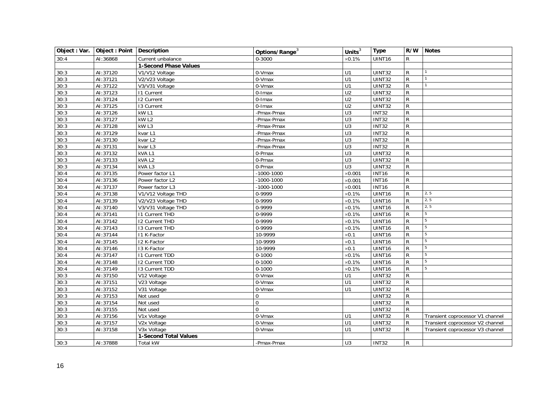<span id="page-15-1"></span><span id="page-15-0"></span>

| Object : Var. | Object: Point   Description |                       | Options/Range <sup>3</sup> | Units $3$        | <b>Type</b>   |                | R/W Notes                        |
|---------------|-----------------------------|-----------------------|----------------------------|------------------|---------------|----------------|----------------------------------|
| 30:4          | AI:36868                    | Current unbalance     | 0-3000                     | $\times$ 0.1%    | UINT16        | R              |                                  |
|               |                             | 1-Second Phase Values |                            |                  |               |                |                                  |
| 30:3          | AI:37120                    | V1/V12 Voltage        | 0-Vmax                     | U1               | UINT32        | R              |                                  |
| 30:3          | AI:37121                    | V2/V23 Voltage        | 0-Vmax                     | U1               | UINT32        | $\overline{R}$ |                                  |
| 30:3          | AI:37122                    | V3/V31 Voltage        | 0-Vmax                     | $\overline{U}$ 1 | UINT32        | $\overline{R}$ |                                  |
| 30:3          | AI:37123                    | <b>11 Current</b>     | 0-Imax                     | U <sub>2</sub>   | UINT32        | ${\sf R}$      |                                  |
| 30:3          | AI:37124                    | 12 Current            | 0-Imax                     | U <sub>2</sub>   | UINT32        | $\overline{R}$ |                                  |
| 30:3          | AI:37125                    | 13 Current            | 0-Imax                     | U <sub>2</sub>   | UINT32        | $\overline{R}$ |                                  |
| 30:3          | AI:37126                    | kW L1                 | -Pmax-Pmax                 | U3               | <b>INT32</b>  | $\overline{R}$ |                                  |
| 30:3          | AI:37127                    | kW <sub>L2</sub>      | -Pmax-Pmax                 | $\overline{U}$   | <b>INT32</b>  | ${\sf R}$      |                                  |
| 30:3          | AI:37128                    | kW <sub>L3</sub>      | -Pmax-Pmax                 | U3               | <b>INT32</b>  | $\overline{R}$ |                                  |
| 30:3          | AI:37129                    | kvar L1               | -Pmax-Pmax                 | $\overline{U}$ 3 | <b>INT32</b>  | ${\sf R}$      |                                  |
| 30:3          | AI:37130                    | kvar L2               | -Pmax-Pmax                 | $\overline{U}$   | <b>INT32</b>  | ${\sf R}$      |                                  |
| 30:3          | AI:37131                    | kvar L3               | -Pmax-Pmax                 | U3               | <b>INT32</b>  | $\overline{R}$ |                                  |
| 30:3          | AI:37132                    | kVAL1                 | 0-Pmax                     | U3               | <b>UINT32</b> | $\overline{R}$ |                                  |
| 30:3          | AI:37133                    | kVA L2                | 0-Pmax                     | $\overline{U}$   | UINT32        | $\overline{R}$ |                                  |
| 30:3          | AI:37134                    | kVAL3                 | 0-Pmax                     | U3               | UINT32        | ${\sf R}$      |                                  |
| 30:4          | AI:37135                    | Power factor L1       | $-1000 - 1000$             | $\times$ 0.001   | <b>INT16</b>  | $\overline{R}$ |                                  |
| 30:4          | AI:37136                    | Power factor L2       | $-1000 - 1000$             | $\times$ 0.001   | <b>INT16</b>  | $\overline{R}$ |                                  |
| 30:4          | AI:37137                    | Power factor L3       | $-1000 - 1000$             | $\times$ 0.001   | <b>INT16</b>  | ${\sf R}$      |                                  |
| 30:4          | AI:37138                    | V1/V12 Voltage THD    | 0-9999                     | $\times$ 0.1%    | UINT16        | R              | 2, 5                             |
| 30:4          | AI:37139                    | V2/V23 Voltage THD    | 0-9999                     | $\times 0.1\%$   | UINT16        | ${\sf R}$      | 2, 5                             |
| 30:4          | AI:37140                    | V3/V31 Voltage THD    | 0-9999                     | $\times 0.1\%$   | UINT16        | ${\sf R}$      | 2, 5                             |
| 30:4          | AI:37141                    | <b>11 Current THD</b> | 0-9999                     | $\times 0.1\%$   | UINT16        | ${\sf R}$      | 5                                |
| 30:4          | AI:37142                    | <b>12 Current THD</b> | 0-9999                     | $\times$ 0.1%    | UINT16        | $\mathsf{R}$   | $\overline{5}$                   |
| 30:4          | AI:37143                    | 13 Current THD        | 0-9999                     | $\times 0.1\%$   | UINT16        | ${\sf R}$      | 5                                |
| 30:4          | AI:37144                    | I1 K-Factor           | 10-9999                    | $\times 0.1$     | UINT16        | $\overline{R}$ | 5                                |
| 30:4          | AI:37145                    | 12 K-Factor           | 10-9999                    | $\times 0.1$     | UINT16        | ${\sf R}$      | 5                                |
| 30:4          | AI:37146                    | 13 K-Factor           | 10-9999                    | $\times 0.1$     | UINT16        | ${\sf R}$      | 5                                |
| 30:4          | AI:37147                    | <b>11 Current TDD</b> | $0 - 1000$                 | $\times 0.1\%$   | UINT16        | $\overline{R}$ | 5                                |
| 30:4          | AI:37148                    | <b>12 Current TDD</b> | $0 - 1000$                 | $\times$ 0.1%    | UINT16        | R              | $\overline{5}$                   |
| 30:4          | AI:37149                    | 13 Current TDD        | $0 - 1000$                 | $\times 0.1\%$   | UINT16        | $\overline{R}$ | 5                                |
| 30:3          | AI:37150                    | V12 Voltage           | 0-Vmax                     | U1               | UINT32        | R              |                                  |
| 30:3          | AI:37151                    | V23 Voltage           | 0-Vmax                     | $\overline{U}$ 1 | UINT32        | $\overline{R}$ |                                  |
| 30:3          | AI:37152                    | V31 Voltage           | 0-Vmax                     | U1               | UINT32        | $\overline{R}$ |                                  |
| 30:3          | AI:37153                    | Not used              | $\mathbf 0$                |                  | UINT32        | ${\sf R}$      |                                  |
| 30:3          | AI:37154                    | Not used              | $\mathbf 0$                |                  | UINT32        | $\overline{R}$ |                                  |
| 30:3          | AI:37155                    | Not used              | $\overline{0}$             |                  | UINT32        | $\overline{R}$ |                                  |
| 30:3          | AI:37156                    | V1x Voltage           | $0-Vmax$                   | U1               | UINT32        | R              | Transient coprocessor V1 channel |
| 30:3          | AI:37157                    | V2x Voltage           | 0-Vmax                     | U1               | UINT32        | ${\sf R}$      | Transient coprocessor V2 channel |
| 30:3          | AI:37158                    | V3x Voltage           | 0-Vmax                     | U1               | UINT32        | $\mathsf{R}$   | Transient coprocessor V3 channel |
|               |                             | 1-Second Total Values |                            |                  |               |                |                                  |
| 30:3          | AI:37888                    | Total kW              | -Pmax-Pmax                 | U <sub>3</sub>   | <b>INT32</b>  | $\mathsf{R}$   |                                  |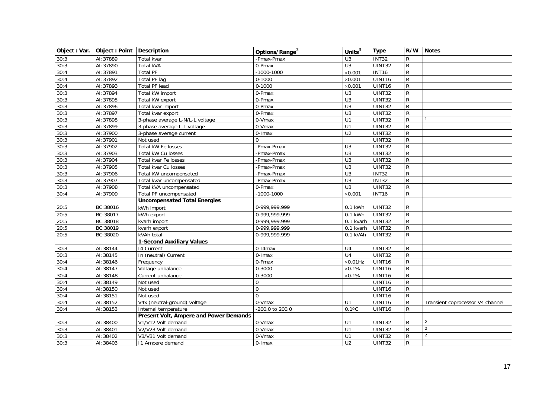<span id="page-16-2"></span><span id="page-16-1"></span><span id="page-16-0"></span>

| Object : Var. | Object: Point   Description |                                        | Options/Range <sup>3</sup> | Units $3$        | <b>Type</b>   |                | R/W Notes                        |
|---------------|-----------------------------|----------------------------------------|----------------------------|------------------|---------------|----------------|----------------------------------|
| 30:3          | AI:37889                    | Total kvar                             | -Pmax-Pmax                 | U <sub>3</sub>   | <b>INT32</b>  | R              |                                  |
| 30:3          | AI:37890                    | Total kVA                              | 0-Pmax                     | U3               | <b>UINT32</b> | ${\sf R}$      |                                  |
| 30:4          | AI:37891                    | <b>Total PF</b>                        | $-1000 - 1000$             | $\times$ 0.001   | <b>INT16</b>  | $\overline{R}$ |                                  |
| 30:4          | AI:37892                    | Total PF lag                           | $0 - 1000$                 | $\times$ 0.001   | UINT16        | ${\sf R}$      |                                  |
| 30:4          | AI:37893                    | <b>Total PF lead</b>                   | $0 - 1000$                 | $\times$ 0.001   | UINT16        | R              |                                  |
| 30:3          | AI:37894                    | Total kW import                        | 0-Pmax                     | $\overline{U}$ 3 | UINT32        | $\overline{R}$ |                                  |
| 30:3          | AI:37895                    | Total kW export                        | $0$ -Pmax                  | U3               | UINT32        | ${\sf R}$      |                                  |
| 30:3          | AI:37896                    | Total kvar import                      | 0-Pmax                     | U3               | UINT32        | $\overline{R}$ |                                  |
| 30:3          | AI:37897                    | Total kvar export                      | 0-Pmax                     | $\overline{U}$ 3 | UINT32        | $\overline{R}$ |                                  |
| 30:3          | AI:37898                    | 3-phase average L-N/L-L voltage        | 0-Vmax                     | $\overline{U}$   | UINT32        | $\overline{R}$ |                                  |
| 30:3          | AI:37899                    | 3-phase average L-L voltage            | 0-Vmax                     | U1               | UINT32        | ${\sf R}$      |                                  |
| 30:3          | AI:37900                    | 3-phase average current                | 0-Imax                     | U <sub>2</sub>   | UINT32        | $\mathsf{R}$   |                                  |
| 30:3          | AI:37901                    | Not used                               | $\Omega$                   |                  | UINT32        | ${\sf R}$      |                                  |
| 30:3          | AI:37902                    | Total kW Fe losses                     | -Pmax-Pmax                 | $\overline{U}$   | UINT32        | $\overline{R}$ |                                  |
| 30:3          | AI:37903                    | Total kW Cu losses                     | -Pmax-Pmax                 | $\overline{U}$ 3 | UINT32        | $\overline{R}$ |                                  |
| 30:3          | AI:37904                    | Total kvar Fe losses                   | -Pmax-Pmax                 | U3               | UINT32        | ${\sf R}$      |                                  |
| 30:3          | AI:37905                    | Total kvar Cu losses                   | -Pmax-Pmax                 | $\overline{U}$ 3 | UINT32        | $\overline{R}$ |                                  |
| 30:3          | AI:37906                    | Total kW uncompensated                 | -Pmax-Pmax                 | U3               | <b>INT32</b>  | $\overline{R}$ |                                  |
| 30:3          | AI:37907                    | Total kvar uncompensated               | -Pmax-Pmax                 | U3               | <b>INT32</b>  | ${\sf R}$      |                                  |
| 30:3          | AI:37908                    | Total kVA uncompensated                | $\overline{0}$ -Pmax       | $\overline{U}$ 3 | UINT32        | $\overline{R}$ |                                  |
| 30:4          | AI:37909                    | Total PF uncompensated                 | $-1000 - 1000$             | $\times$ 0.001   | <b>INT16</b>  | $\mathsf R$    |                                  |
|               |                             | <b>Uncompensated Total Energies</b>    |                            |                  |               |                |                                  |
| 20:5          | BC:38016                    | kWh import                             | 0-999,999,999              | 0.1 kWh          | <b>UINT32</b> | R              |                                  |
| 20:5          | BC:38017                    | kWh export                             | 0-999, 999, 999            | $0.1$ kWh        | UINT32        | ${\sf R}$      |                                  |
| 20:5          | BC:38018                    | kvarh import                           | 0-999, 999, 999            | 0.1 kvarh        | UINT32        | $\overline{R}$ |                                  |
| 20:5          | BC:38019                    | kvarh export                           | 0-999,999,999              | 0.1 kvarh        | UINT32        | ${\sf R}$      |                                  |
| 20:5          | BC:38020                    | kVAh total                             | 0-999,999,999              | 0.1 kVAh         | <b>UINT32</b> | $\overline{R}$ |                                  |
|               |                             | <b>1-Second Auxiliary Values</b>       |                            |                  |               |                |                                  |
| 30:3          | AI:38144                    | 14 Current                             | $0-14max$                  | U4               | UINT32        | ${\sf R}$      |                                  |
| 30:3          | AI:38145                    | In (neutral) Current                   | 0-Imax                     | $\overline{U4}$  | UINT32        | ${\sf R}$      |                                  |
| 30:4          | AI:38146                    | Frequency                              | 0-Fmax                     | $\times$ 0.01Hz  | UINT16        | $\overline{R}$ |                                  |
| 30:4          | AI:38147                    | Voltage unbalance                      | 0-3000                     | $\times 0.1\%$   | UINT16        | $\overline{R}$ |                                  |
| 30:4          | AI:38148                    | Current unbalance                      | 0-3000                     | $\times 0.1\%$   | UINT16        | ${\sf R}$      |                                  |
| 30:4          | AI:38149                    | Not used                               | $\Omega$                   |                  | UINT16        | ${\sf R}$      |                                  |
| 30:4          | AI:38150                    | Not used                               | $\mathbf 0$                |                  | UINT16        | $\overline{R}$ |                                  |
| 30:4          | AI:38151                    | Not used                               | $\mathbf{0}$               |                  | UINT16        | $\overline{R}$ |                                  |
| 30:4          | AI:38152                    | V4x (neutral-ground) voltage           | 0-Vmax                     | U1               | UINT16        | R              | Transient coprocessor V4 channel |
| 30:4          | AI:38153                    | Internal temperature                   | -200.0 to 200.0            | $0.1^{\circ}$ C  | UINT16        | $\mathsf{R}$   |                                  |
|               |                             | Present Volt, Ampere and Power Demands |                            |                  |               |                |                                  |
| 30:3          | AI:38400                    | V1/V12 Volt demand                     | 0-Vmax                     | U1               | UINT32        | ${\sf R}$      | $\overline{2}$                   |
| 30:3          | AI:38401                    | V2/V23 Volt demand                     | 0-Vmax                     | U1               | UINT32        | ${\sf R}$      | $\overline{2}$                   |
| 30:3          | AI:38402                    | V3/V31 Volt demand                     | 0-Vmax                     | U1               | UINT32        | ${\sf R}$      | $\overline{2}$                   |
| 30:3          | AI:38403                    | 11 Ampere demand                       | 0-Imax                     | U <sub>2</sub>   | UINT32        | R              |                                  |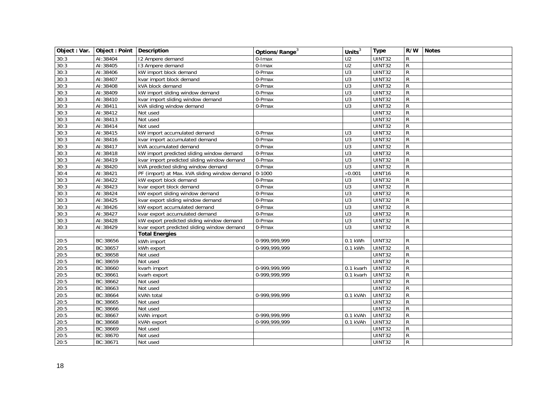<span id="page-17-0"></span>

|      | Object: Var.   Object: Point   Description |                                               | Options/Range <sup>3</sup> | Units $3$        | <b>Type</b>   |                | R/W Notes |
|------|--------------------------------------------|-----------------------------------------------|----------------------------|------------------|---------------|----------------|-----------|
| 30:3 | AI:38404                                   | 12 Ampere demand                              | 0-Imax                     | $\overline{U2}$  | UINT32        | R              |           |
| 30:3 | AI:38405                                   | 13 Ampere demand                              | 0-Imax                     | U <sub>2</sub>   | UINT32        | ${\sf R}$      |           |
| 30:3 | AI:38406                                   | kW import block demand                        | 0-Pmax                     | U3               | UINT32        | R              |           |
| 30:3 | AI:38407                                   | kvar import block demand                      | 0-Pmax                     | U3               | UINT32        | $\mathsf{R}$   |           |
| 30:3 | AI:38408                                   | kVA block demand                              | 0-Pmax                     | $\overline{U}$ 3 | UINT32        | R              |           |
| 30:3 | AI:38409                                   | kW import sliding window demand               | 0-Pmax                     | $\overline{U}$ 3 | UINT32        | ${\sf R}$      |           |
| 30:3 | AI:38410                                   | kvar import sliding window demand             | 0-Pmax                     | $\overline{U}$ 3 | UINT32        | $\overline{R}$ |           |
| 30:3 | AI:38411                                   | kVA sliding window demand                     | 0-Pmax                     | $\overline{U}$ 3 | UINT32        | $\overline{R}$ |           |
| 30:3 | AI:38412                                   | Not used                                      |                            |                  | UINT32        | $\overline{R}$ |           |
| 30:3 | AI:38413                                   | Not used                                      |                            |                  | UINT32        | $\overline{R}$ |           |
| 30:3 | AI:38414                                   | Not used                                      |                            |                  | UINT32        | ${\sf R}$      |           |
| 30:3 | AI:38415                                   | kW import accumulated demand                  | 0-Pmax                     | U <sub>3</sub>   | UINT32        | ${\sf R}$      |           |
| 30:3 | AI:38416                                   | kvar import accumulated demand                | $\overline{0}$ -Pmax       | $\overline{U}$   | UINT32        | $\mathsf{R}$   |           |
| 30:3 | AI:38417                                   | kVA accumulated demand                        | 0-Pmax                     | U3               | UINT32        | $\overline{R}$ |           |
| 30:3 | AI:38418                                   | kW import predicted sliding window demand     | 0-Pmax                     | $\overline{U}$ 3 | UINT32        | $\mathsf{R}$   |           |
| 30:3 | AI:38419                                   | kvar import predicted sliding window demand   | 0-Pmax                     | U <sub>3</sub>   | UINT32        | $\mathsf{R}$   |           |
| 30:3 | AI:38420                                   | kVA predicted sliding window demand           | 0-Pmax                     | $\overline{U}$ 3 | UINT32        | ${\sf R}$      |           |
| 30:4 | AI:38421                                   | PF (import) at Max. kVA sliding window demand | $0 - 1000$                 | $\times$ 0.001   | UINT16        | ${\sf R}$      |           |
| 30:3 | AI:38422                                   | kW export block demand                        | 0-Pmax                     | U <sub>3</sub>   | UINT32        | $\overline{R}$ |           |
| 30:3 | AI:38423                                   | kvar export block demand                      | 0-Pmax                     | $\overline{U}$ 3 | UINT32        | $\overline{R}$ |           |
| 30:3 | AI:38424                                   | kW export sliding window demand               | $0$ -Pmax                  | U3               | UINT32        | $\overline{R}$ |           |
| 30:3 | AI:38425                                   | kvar export sliding window demand             | 0-Pmax                     | $\overline{U}$   | UINT32        | ${\sf R}$      |           |
| 30:3 | AI:38426                                   | kW export accumulated demand                  | 0-Pmax                     | U3               | UINT32        | ${\sf R}$      |           |
| 30:3 | AI:38427                                   | kvar export accumulated demand                | 0-Pmax                     | $\overline{U}$ 3 | UINT32        | ${\sf R}$      |           |
| 30:3 | AI:38428                                   | kW export predicted sliding window demand     | 0-Pmax                     | $\overline{U}$ 3 | UINT32        | ${\sf R}$      |           |
| 30:3 | AI:38429                                   | kvar export predicted sliding window demand   | 0-Pmax                     | U <sub>3</sub>   | UINT32        | $\mathsf{R}$   |           |
|      |                                            | <b>Total Energies</b>                         |                            |                  |               |                |           |
| 20:5 | BC:38656                                   | kWh import                                    | 0-999,999,999              | $0.1$ kWh        | UINT32        | $\mathsf{R}$   |           |
| 20:5 | BC:38657                                   | kWh export                                    | 0-999.999.999              | 0.1 kWh          | <b>UINT32</b> | ${\sf R}$      |           |
| 20:5 | BC:38658                                   | Not used                                      |                            |                  | UINT32        | $\overline{R}$ |           |
| 20:5 | BC:38659                                   | Not used                                      |                            |                  | UINT32        | $\overline{R}$ |           |
| 20:5 | BC:38660                                   | kvarh import                                  | 0-999,999,999              | 0.1 kvarh        | <b>UINT32</b> | $\overline{R}$ |           |
| 20:5 | BC:38661                                   | kvarh export                                  | 0-999,999,999              | 0.1 kvarh        | UINT32        | ${\sf R}$      |           |
| 20:5 | BC:38662                                   | Not used                                      |                            |                  | UINT32        | ${\sf R}$      |           |
| 20:5 | BC:38663                                   | Not used                                      |                            |                  | UINT32        | ${\sf R}$      |           |
| 20:5 | BC:38664                                   | kVAh total                                    | 0-999,999,999              | 0.1 kVAh         | UINT32        | ${\sf R}$      |           |
| 20:5 | BC:38665                                   | Not used                                      |                            |                  | UINT32        | $\overline{R}$ |           |
| 20:5 | BC:38666                                   | Not used                                      |                            |                  | UINT32        | $\overline{R}$ |           |
| 20:5 | BC:38667                                   | kVAh import                                   | 0-999,999,999              | 0.1 kVAh         | <b>UINT32</b> | ${\sf R}$      |           |
| 20:5 | BC:38668                                   | kVAh export                                   | 0-999,999,999              | 0.1 kVAh         | <b>UINT32</b> | $\overline{R}$ |           |
| 20:5 | BC:38669                                   | Not used                                      |                            |                  | UINT32        | ${\sf R}$      |           |
| 20:5 | BC:38670                                   | Not used                                      |                            |                  | UINT32        | ${\sf R}$      |           |
| 20:5 | BC:38671                                   | Not used                                      |                            |                  | UINT32        | $\mathsf R$    |           |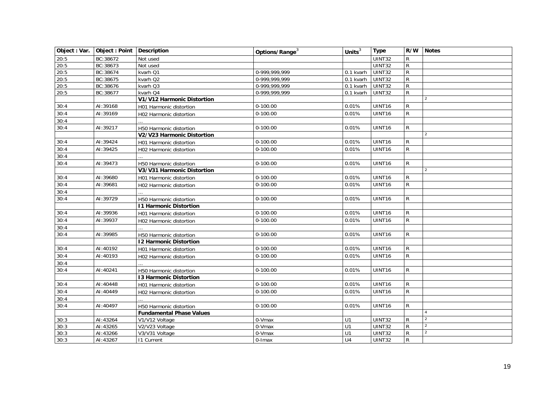<span id="page-18-6"></span><span id="page-18-5"></span><span id="page-18-4"></span><span id="page-18-3"></span><span id="page-18-2"></span><span id="page-18-1"></span><span id="page-18-0"></span>

| Object : Var. | Object: Point   Description |                                 | Options/Range <sup>3</sup> | Units $3$      | <b>Type</b>   | R/W       | <b>Notes</b>   |
|---------------|-----------------------------|---------------------------------|----------------------------|----------------|---------------|-----------|----------------|
| 20:5          | BC:38672                    | Not used                        |                            |                | UINT32        | R         |                |
| 20:5          | BC:38673                    | Not used                        |                            |                | <b>UINT32</b> | ${\sf R}$ |                |
| 20:5          | BC:38674                    | kvarh Q1                        | 0-999,999,999              | 0.1 kvarh      | UINT32        | ${\sf R}$ |                |
| 20:5          | BC:38675                    | kvarh Q2                        | 0-999,999,999              | 0.1 kvarh      | UINT32        | R         |                |
| 20:5          | BC:38676                    | kvarh Q3                        | 0-999,999,999              | 0.1 kvarh      | UINT32        | ${\sf R}$ |                |
| 20:5          | BC:38677                    | kvarh Q4                        | 0-999,999,999              | 0.1 kvarh      | UINT32        | ${\sf R}$ |                |
|               |                             | V1/V12 Harmonic Distortion      |                            |                |               |           | $\mathcal{P}$  |
| 30:4          | AI:39168                    | H01 Harmonic distortion         | $0 - 100.00$               | 0.01%          | UINT16        | R         |                |
| 30:4          | AI:39169                    | H02 Harmonic distortion         | $0-100.00$                 | 0.01%          | UINT16        | R         |                |
| 30:4          |                             |                                 |                            |                |               |           |                |
| 30:4          | AI:39217                    | H50 Harmonic distortion         | $0 - 100.00$               | 0.01%          | UINT16        | R         |                |
|               |                             | V2/V23 Harmonic Distortion      |                            |                |               |           | $\overline{2}$ |
| 30:4          | AI:39424                    | H01 Harmonic distortion         | $0-100.00$                 | 0.01%          | UINT16        | R         |                |
| 30:4          | AI:39425                    | H02 Harmonic distortion         | $0 - 100.00$               | 0.01%          | UINT16        | R         |                |
| 30:4          |                             |                                 |                            |                |               |           |                |
| 30:4          | AI:39473                    | H50 Harmonic distortion         | $0-100.00$                 | 0.01%          | UINT16        | R         |                |
|               |                             | V3/V31 Harmonic Distortion      |                            |                |               |           | $\overline{2}$ |
| 30:4          | AI:39680                    | H01 Harmonic distortion         | $0 - 100.00$               | 0.01%          | UINT16        | R         |                |
| 30:4          | AI:39681                    | H02 Harmonic distortion         | $0 - 100.00$               | 0.01%          | UINT16        | R         |                |
| 30:4          |                             |                                 |                            |                |               |           |                |
| 30:4          | AI:39729                    | H50 Harmonic distortion         | $0-100.00$                 | 0.01%          | UINT16        | R         |                |
|               |                             | <b>11 Harmonic Distortion</b>   |                            |                |               |           |                |
| 30:4          | AI:39936                    | H01 Harmonic distortion         | $0-100.00$                 | 0.01%          | UINT16        | R         |                |
| 30:4          | AI:39937                    | H02 Harmonic distortion         | $0 - 100.00$               | 0.01%          | UINT16        | R         |                |
| 30:4          |                             |                                 |                            |                |               |           |                |
| 30:4          | AI:39985                    | H50 Harmonic distortion         | $0-100.00$                 | 0.01%          | UINT16        | R         |                |
|               |                             | <b>12 Harmonic Distortion</b>   |                            |                |               |           |                |
| 30:4          | AI:40192                    | H01 Harmonic distortion         | $0-100.00$                 | 0.01%          | UINT16        | R         |                |
| 30:4          | AI:40193                    | H02 Harmonic distortion         | $0-100.00$                 | 0.01%          | UINT16        | R         |                |
| 30:4          |                             |                                 |                            |                |               |           |                |
| 30:4          | AI:40241                    | H50 Harmonic distortion         | $0-100.00$                 | 0.01%          | UINT16        | R         |                |
|               |                             | <b>13 Harmonic Distortion</b>   |                            |                |               |           |                |
| 30:4          | AI:40448                    | H01 Harmonic distortion         | $0-100.00$                 | 0.01%          | UINT16        | R         |                |
| 30:4          | AI:40449                    | H02 Harmonic distortion         | $0 - 100.00$               | 0.01%          | UINT16        | R         |                |
| 30:4          |                             |                                 |                            |                |               |           |                |
| 30:4          | AI:40497                    | H50 Harmonic distortion         | $0-100.00$                 | 0.01%          | UINT16        | R         |                |
|               |                             | <b>Fundamental Phase Values</b> |                            |                |               |           | $\overline{4}$ |
| 30:3          | AI:43264                    | V1/V12 Voltage                  | 0-Vmax                     | U1             | <b>UINT32</b> | R         | $\mathcal{P}$  |
| 30:3          | AI:43265                    | V2/V23 Voltage                  | 0-Vmax                     | U1             | <b>UINT32</b> | R         | 2              |
| 30:3          | AI:43266                    | V3/V31 Voltage                  | 0-Vmax                     | U1             | UINT32        | R         | $\overline{2}$ |
| 30:3          | AI:43267                    | <b>11 Current</b>               | 0-Imax                     | U <sub>4</sub> | UINT32        | ${\sf R}$ |                |
|               |                             |                                 |                            |                |               |           |                |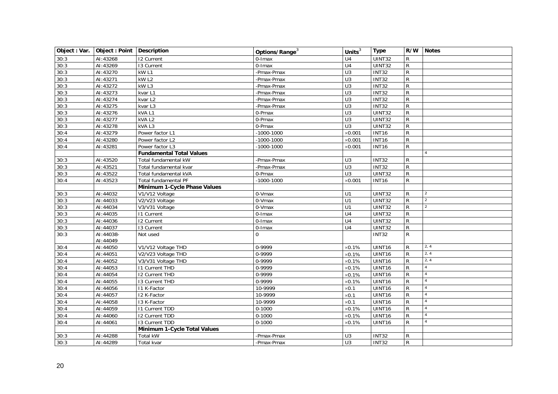<span id="page-19-2"></span><span id="page-19-1"></span><span id="page-19-0"></span>

| Object : Var. | Object: Point   Description |                                 | Options/Range <sup>3</sup> | Units $3$        | <b>Type</b>  |                | R/W Notes      |
|---------------|-----------------------------|---------------------------------|----------------------------|------------------|--------------|----------------|----------------|
| 30:3          | AI:43268                    | <b>12 Current</b>               | 0-Imax                     | $\overline{U4}$  | UINT32       | R              |                |
| 30:3          | AI:43269                    | 13 Current                      | 0-Imax                     | U <sub>4</sub>   | UINT32       | ${\sf R}$      |                |
| 30:3          | AI:43270                    | kW <sub>L1</sub>                | -Pmax-Pmax                 | U3               | <b>INT32</b> | $\overline{R}$ |                |
| 30:3          | AI:43271                    | kW <sub>L2</sub>                | -Pmax-Pmax                 | U3               | <b>INT32</b> | ${\sf R}$      |                |
| 30:3          | AI:43272                    | kWL3                            | -Pmax-Pmax                 | U3               | INT32        | R              |                |
| 30:3          | AI:43273                    | kvar L1                         | -Pmax-Pmax                 | U3               | <b>INT32</b> | $\mathsf{R}$   |                |
| 30:3          | AI:43274                    | kvar L2                         | -Pmax-Pmax                 | U3               | <b>INT32</b> | ${\sf R}$      |                |
| 30:3          | AI:43275                    | kvar L3                         | -Pmax-Pmax                 | U3               | <b>INT32</b> | R              |                |
| 30:3          | AI:43276                    | kVA L1                          | 0-Pmax                     | $\overline{U}$ 3 | UINT32       | ${\sf R}$      |                |
| 30:3          | AI:43277                    | kVA L2                          | 0-Pmax                     | $\overline{U}$ 3 | UINT32       | ${\sf R}$      |                |
| 30:3          | AI:43278                    | kVAL3                           | 0-Pmax                     | U3               | UINT32       | $\overline{R}$ |                |
| 30:4          | AI:43279                    | Power factor L1                 | $-1000 - 1000$             | $\times$ 0.001   | <b>INT16</b> | $\mathsf{R}$   |                |
| 30:4          | AI:43280                    | Power factor L2                 | $-1000 - 1000$             | $\times$ 0.001   | <b>INT16</b> | $\mathsf R$    |                |
| 30:4          | AI:43281                    | Power factor L3                 | $-1000 - 1000$             | $\times$ 0.001   | <b>INT16</b> | $\overline{R}$ |                |
|               |                             | <b>Fundamental Total Values</b> |                            |                  |              |                |                |
| 30:3          | AI:43520                    | Total fundamental kW            | -Pmax-Pmax                 | U3               | <b>INT32</b> | R              |                |
| 30:3          | AI:43521                    | Total fundamental kvar          | -Pmax-Pmax                 | $\overline{U}$ 3 | <b>INT32</b> | R              |                |
| 30:3          | AI:43522                    | Total fundamental kVA           | 0-Pmax                     | U3               | UINT32       | R              |                |
| 30:4          | AI:43523                    | Total fundamental PF            | $-1000 - 1000$             | $\times$ 0.001   | <b>INT16</b> | $\mathsf{R}$   |                |
|               |                             | Minimum 1-Cycle Phase Values    |                            |                  |              |                |                |
| 30:3          | AI:44032                    | V1/V12 Voltage                  | 0-Vmax                     | U1               | UINT32       | R              | $\overline{2}$ |
| 30:3          | AI:44033                    | V2/V23 Voltage                  | 0-Vmax                     | U1               | UINT32       | ${\sf R}$      | $\overline{2}$ |
| 30:3          | AI:44034                    | V3/V31 Voltage                  | 0-Vmax                     | U1               | UINT32       | ${\sf R}$      | $\overline{2}$ |
| 30:3          | AI:44035                    | <b>11 Current</b>               | 0-Imax                     | $\overline{U4}$  | UINT32       | ${\sf R}$      |                |
| 30:3          | AI:44036                    | <b>12 Current</b>               | 0-Imax                     | $\overline{U4}$  | UINT32       | ${\sf R}$      |                |
| 30:3          | AI:44037                    | 13 Current                      | 0-Imax                     | $\overline{U4}$  | UINT32       | ${\sf R}$      |                |
| 30:3          | AI:44038-                   | Not used                        | $\Omega$                   |                  | <b>INT32</b> | $\overline{R}$ |                |
|               | AI:44049                    |                                 |                            |                  |              |                |                |
| 30:4          | AI:44050                    | V1/V12 Voltage THD              | 0-9999                     | $\times 0.1\%$   | UINT16       | $\mathsf{R}$   | 2, 4           |
| 30:4          | AI:44051                    | V2/V23 Voltage THD              | 0-9999                     | $\times 0.1\%$   | UINT16       | ${\sf R}$      | 2, 4           |
| 30:4          | AI:44052                    | V3/V31 Voltage THD              | 0-9999                     | $\times 0.1\%$   | UINT16       | $\mathsf{R}$   | 2, 4           |
| 30:4          | AI:44053                    | <b>11 Current THD</b>           | 0-9999                     | $\times 0.1\%$   | UINT16       | R              | $\overline{4}$ |
| 30:4          | AI:44054                    | <b>12 Current THD</b>           | 0-9999                     | $\times 0.1\%$   | UINT16       | ${\sf R}$      |                |
| 30:4          | AI:44055                    | 13 Current THD                  | 0-9999                     | $\times$ 0.1%    | UINT16       | ${\sf R}$      | $\overline{A}$ |
| 30:4          | AI:44056                    | <b>11 K-Factor</b>              | 10-9999                    | $\times 0.1$     | UINT16       | $\mathsf{R}$   | $\overline{4}$ |
| 30:4          | AI:44057                    | 12 K-Factor                     | 10-9999                    | $\times 0.1$     | UINT16       | $\mathsf{R}$   |                |
| 30:4          | AI:44058                    | 13 K-Factor                     | 10-9999                    | $\times 0.1$     | UINT16       | $\mathsf R$    | $\overline{A}$ |
| 30:4          | AI:44059                    | <b>11 Current TDD</b>           | $0 - 1000$                 | $\times 0.1\%$   | UINT16       | ${\sf R}$      |                |
| 30:4          | AI:44060                    | <b>12 Current TDD</b>           | $0 - 1000$                 | $\times 0.1\%$   | UINT16       | R              |                |
| 30:4          | AI:44061                    | 13 Current TDD                  | $0 - 1000$                 | $\times 0.1\%$   | UINT16       | ${\sf R}$      |                |
|               |                             | Minimum 1-Cycle Total Values    |                            |                  |              |                |                |
| 30:3          | AI:44288                    | Total kW                        | -Pmax-Pmax                 | U <sub>3</sub>   | <b>INT32</b> | R              |                |
| 30:3          | AI:44289                    | Total kvar                      | -Pmax-Pmax                 | U3               | <b>INT32</b> | ${\sf R}$      |                |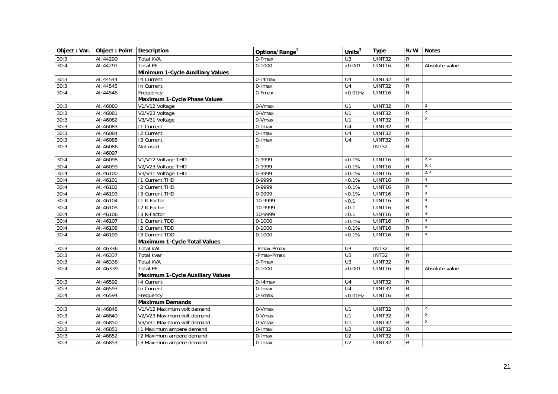<span id="page-20-4"></span><span id="page-20-3"></span><span id="page-20-2"></span><span id="page-20-1"></span><span id="page-20-0"></span>

| Object : Var. | Object: Point   Description |                                         | Options/Range <sup>3</sup> | Units $3$        | <b>Type</b>          |                | R/W Notes      |
|---------------|-----------------------------|-----------------------------------------|----------------------------|------------------|----------------------|----------------|----------------|
| 30:3          | AI:44290                    | Total kVA                               | 0-Pmax                     | U <sub>3</sub>   | UINT32               | R              |                |
| 30:4          | AI:44291                    | <b>Total PF</b>                         | $0 - 1000$                 | $\times$ 0.001   | UINT16               | $\mathsf{R}$   | Absolute value |
|               |                             | <b>Minimum 1-Cycle Auxiliary Values</b> |                            |                  |                      |                |                |
| 30:3          | AI:44544                    | 14 Current                              | $0-14$ max                 | U <sub>4</sub>   | UINT32               | ${\sf R}$      |                |
| 30:3          | AI:44545                    | In Current                              | 0-Imax                     | U <sub>4</sub>   | UINT32               | ${\sf R}$      |                |
| 30:4          | AI:44546                    | Frequency                               | 0-Fmax                     | $\times 0.01$ Hz | UINT16               | $\mathsf{R}$   |                |
|               |                             | <b>Maximum 1-Cycle Phase Values</b>     |                            |                  |                      |                |                |
| 30:3          | AI:46080                    | V1/V12 Voltage                          | 0-Vmax                     | U1               | UINT32               | $\overline{R}$ | $\overline{2}$ |
| 30:3          | AI:46081                    | V2/V23 Voltage                          | 0-Vmax                     | $\overline{U}$ 1 | UINT32               | $\overline{R}$ | $\overline{2}$ |
| 30:3          | AI:46082                    | V3/V31 Voltage                          | 0-Vmax                     | U1               | UINT32               | ${\sf R}$      | $\overline{2}$ |
| 30:3          | AI:46083                    | 11 Current                              | 0-Imax                     | U <sub>4</sub>   | UINT32               | ${\sf R}$      |                |
| 30:3          | AI:46084                    | <b>12 Current</b>                       | 0-Imax                     | $\overline{U4}$  | UINT32               | R              |                |
| 30:3          | AI:46085                    | 13 Current                              | 0-Imax                     | $\overline{U4}$  | UINT32               | $\overline{R}$ |                |
| 30:3          | AI:46086-                   | Not used                                | $\Omega$                   |                  | <b>INT32</b>         | $\overline{R}$ |                |
|               | AI:46097                    |                                         |                            |                  |                      |                |                |
| 30:4          | AI:46098                    | V1/V12 Voltage THD                      | 0-9999                     | $\times$ 0.1%    | UINT16               | R              | 2, 4           |
| 30:4          | AI:46099                    | V2/V23 Voltage THD                      | 0-9999                     | $\times 0.1\%$   | UINT16               | $\overline{R}$ | 2, 4           |
| 30:4          | AI:46100                    | V3/V31 Voltage THD                      | 0-9999                     | $\times 0.1\%$   | UINT16               | $\overline{R}$ | 2, 4           |
| 30:4          | AI:46101                    | <b>11 Current THD</b>                   | 0-9999                     | $\times 0.1\%$   | UINT16               | ${\sf R}$      | $\overline{4}$ |
| 30:4          | AI:46102                    | <b>12 Current THD</b>                   | 0-9999                     | $\times 0.1\%$   | UINT16               | R              |                |
| 30:4          | AI:46103                    | 13 Current THD                          | 0-9999                     | $\times$ 0.1%    | UINT16               | ${\sf R}$      |                |
| 30:4          | AI:46104                    | 11 K-Factor                             | 10-9999                    | $\times 0.1$     | UINT16               | ${\sf R}$      |                |
| 30:4          | AI:46105                    | 12 K-Factor                             | 10-9999                    | $\times$ 0.1     | UINT16               | $\overline{R}$ |                |
| 30:4          | AI:46106                    | 13 K-Factor                             | 10-9999                    | $\times 0.1$     | UINT16               | $\overline{R}$ | $\overline{A}$ |
| 30:4          | AI:46107                    | <b>11 Current TDD</b>                   | $0 - 1000$                 | $\times 0.1\%$   | UINT16               | ${\sf R}$      |                |
| 30:4          | AI:46108                    | <b>12 Current TDD</b>                   | $0 - 1000$                 | $\times 0.1\%$   | UINT16               | R              |                |
| 30:4          | AI:46109                    | 13 Current TDD                          | $0 - 1000$                 | $\times 0.1\%$   | UINT16               | $\mathsf{R}$   |                |
|               |                             | Maximum 1-Cycle Total Values            |                            |                  |                      |                |                |
| 30:3          | AI:46336                    | <b>Total kW</b>                         | -Pmax-Pmax                 | U3               | <b>INT32</b>         | R              |                |
| 30:3          | AI:46337                    | Total kvar                              | -Pmax-Pmax                 | $\overline{U}$ 3 | <b>INT32</b>         | $\mathsf{R}$   |                |
| 30:3          | AI:46338                    | Total kVA                               | 0-Pmax                     | U3               | UINT32               | ${\sf R}$      |                |
| 30:4          | AI:46339                    | <b>Total PF</b>                         | $0 - 1000$                 | $\times$ 0.001   | UINT16               | $\mathsf{R}$   | Absolute value |
|               |                             | <b>Maximum 1-Cycle Auxiliary Values</b> |                            |                  |                      |                |                |
| 30:3          | AI:46592                    | 14 Current                              | 0-14max                    | $\overline{U4}$  | UINT32               | ${\sf R}$      |                |
| 30:3          | AI:46593                    | In Current                              | 0-Imax                     | $\overline{U4}$  | UINT32               | $\overline{R}$ |                |
| 30:4          | AI:46594                    | Frequency                               | 0-Fmax                     | $\times 0.01$ Hz | UINT16               | ${\sf R}$      |                |
|               |                             | <b>Maximum Demands</b>                  |                            |                  |                      |                |                |
| 30:3          | AI:46848                    | V1/V12 Maximum volt demand              | 0-Vmax                     | U1               | $\overline{UINT}$ 32 | $\mathsf{R}$   | $\overline{2}$ |
| 30:3          | AI:46849                    | V2/V23 Maximum volt demand              | 0-Vmax                     | $\overline{U}$ 1 | UINT32               | $\overline{R}$ | $\overline{2}$ |
| 30:3          | AI:46850                    | V3/V31 Maximum volt demand              | 0-Vmax                     | $\overline{U}$ 1 | UINT32               | ${\sf R}$      | $\overline{2}$ |
| 30:3          | AI:46851                    | 11 Maximum ampere demand                | 0-Imax                     | $\overline{U2}$  | UINT32               | $\mathsf{R}$   |                |
| 30:3          | AI:46852                    | 12 Maximum ampere demand                | 0-Imax                     | $\overline{U2}$  | UINT32               | ${\sf R}$      |                |
| 30:3          | AI:46853                    | 13 Maximum ampere demand                | 0-Imax                     | U <sub>2</sub>   | <b>UINT32</b>        | $\mathsf{R}$   |                |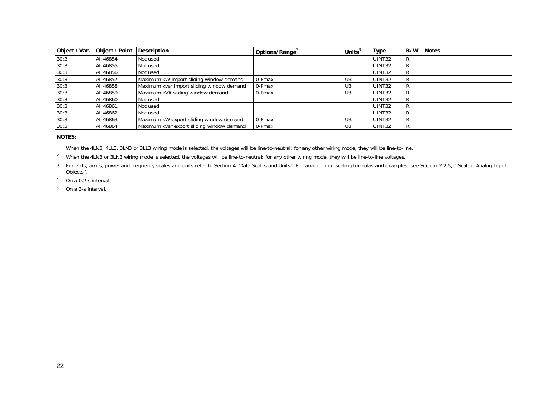| Object: Var. | <b>Object: Point</b> | <b>Description</b>                        | Options/Range | Units <sup>®</sup> | <b>Type</b> | R/W | <b>Notes</b> |
|--------------|----------------------|-------------------------------------------|---------------|--------------------|-------------|-----|--------------|
| 30:3         | AI:46854             | Not used                                  |               |                    | UINT32      | R   |              |
| 30:3         | AI:46855             | Not used                                  |               |                    | UINT32      | R   |              |
| 30:3         | AI:46856             | Not used                                  |               |                    | UINT32      | R   |              |
| 30:3         | AI:46857             | Maximum kW import sliding window demand   | 0-Pmax        | U3                 | UINT32      | R   |              |
| 30:3         | AI:46858             | Maximum kvar import sliding window demand | 0-Pmax        | U <sub>3</sub>     | UINT32      | R   |              |
| 30:3         | AI:46859             | Maximum kVA sliding window demand         | 0-Pmax        | U3                 | UINT32      | R   |              |
| 30:3         | AI:46860             | Not used                                  |               |                    | UINT32      | R   |              |
| 30:3         | AI:46861             | Not used                                  |               |                    | UINT32      | R   |              |
| 30:3         | AI:46862             | Not used                                  |               |                    | UINT32      | R   |              |
| 30:3         | AI:46863             | Maximum kW export sliding window demand   | 0-Pmax        | U3                 | UINT32      | R   |              |
| 30:3         | AI:46864             | Maximum kvar export sliding window demand | 0-Pmax        | U <sub>3</sub>     | UINT32      | R   |              |

#### **NOTES:**

<sup>1</sup> When the 4LN3, 4LL3, 3LN3 or 3LL3 wiring mode is selected, the voltages will be line-to-neutral; for any other wiring mode, they will be line-to-line.

<sup>2</sup> When the 4LN3 or 3LN3 wiring mode is selected, the voltages will be line-to-neutral; for any other wiring mode, they will be line-to-line voltages.

<sup>3</sup> For volts, amps, power and frequency scales and units refer to Section 4 "Data Scales and Units". For analog input scaling formulas and examples, see Section 2.2.5, " Scaling Analog Input Objects".

4 On a 0.2-s interval.

5 On a 3-s interval.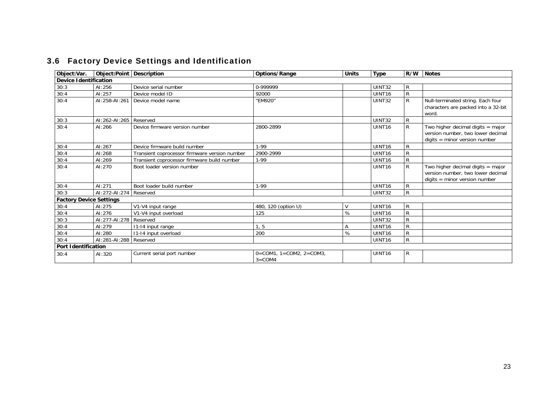|  |  |  |  | 3.6 Factory Device Settings and Identification |
|--|--|--|--|------------------------------------------------|
|--|--|--|--|------------------------------------------------|

<span id="page-22-3"></span><span id="page-22-2"></span><span id="page-22-1"></span><span id="page-22-0"></span>

| Object:Var.                    | Object: Point   Description |                                               | <b>Options/Range</b>                                 | <b>Units</b> | <b>Type</b>        | R/W          | <b>Notes</b>                                                                                                |
|--------------------------------|-----------------------------|-----------------------------------------------|------------------------------------------------------|--------------|--------------------|--------------|-------------------------------------------------------------------------------------------------------------|
| <b>Device Identification</b>   |                             |                                               |                                                      |              |                    |              |                                                                                                             |
| 30:3                           | AI:256                      | Device serial number                          | 0-999999                                             |              | UINT32             | R            |                                                                                                             |
| 30:4                           | AI:257                      | Device model ID                               | 92000                                                |              | UINT <sub>16</sub> | $\mathsf R$  |                                                                                                             |
| 30:4                           | AI:258-AI:261               | Device model name                             | "EM920"                                              |              | <b>UINT32</b>      | $\mathsf{R}$ | Null-terminated string. Each four<br>characters are packed into a 32-bit<br>word.                           |
| 30:3                           | AI:262-AI:265   Reserved    |                                               |                                                      |              | <b>UINT32</b>      | R            |                                                                                                             |
| 30:4                           | AI:266                      | Device firmware version number                | 2800-2899                                            |              | UINT <sub>16</sub> | $\mathsf{R}$ | Two higher decimal digits = major<br>version number, two lower decimal<br>$digits = minor version number$   |
| 30:4                           | AI:267                      | Device firmware build number                  | $1-99$                                               |              | UINT <sub>16</sub> | R            |                                                                                                             |
| 30:4                           | AI:268                      | Transient coprocessor firmware version number | 2900-2999                                            |              | UINT <sub>16</sub> | $\mathsf R$  |                                                                                                             |
| 30:4                           | AI:269                      | Transient coprocessor firmware build number   | $1-99$                                               |              | UINT <sub>16</sub> | $\mathsf{R}$ |                                                                                                             |
| 30:4                           | AI:270                      | Boot loader version number                    |                                                      |              | UINT <sub>16</sub> | R            | Two higher decimal digits $=$ major<br>version number, two lower decimal<br>$digits = minor version number$ |
| 30:4                           | AI:271                      | Boot loader build number                      | $1 - 99$                                             |              | UINT16             | R            |                                                                                                             |
| 30:3                           | AI:272-AI:274               | Reserved                                      |                                                      |              | <b>UINT32</b>      | $\mathsf{R}$ |                                                                                                             |
| <b>Factory Device Settings</b> |                             |                                               |                                                      |              |                    |              |                                                                                                             |
| 30:4                           | AI:275                      | V1-V4 input range                             | 480, 120 (option U)                                  | ٧            | UINT <sub>16</sub> | $\mathsf{R}$ |                                                                                                             |
| 30:4                           | AI:276                      | V1-V4 input overload                          | 125                                                  | %            | UINT <sub>16</sub> | $\mathsf R$  |                                                                                                             |
| 30:3                           | AI:277-AI:278   Reserved    |                                               |                                                      |              | <b>UINT32</b>      | ${\sf R}$    |                                                                                                             |
| 30:4                           | AI:279                      | 11-14 input range                             | 1.5                                                  | Α            | UINT <sub>16</sub> | $\mathsf{R}$ |                                                                                                             |
| 30:4                           | AI:280                      | 11-14 input overload                          | 200                                                  | $\%$         | UINT <sub>16</sub> | $\mathsf R$  |                                                                                                             |
| 30:4                           | AI:281-AI:288   Reserved    |                                               |                                                      |              | UINT <sub>16</sub> | $\mathsf{R}$ |                                                                                                             |
| <b>Port Identification</b>     |                             |                                               |                                                      |              |                    |              |                                                                                                             |
| 30:4                           | AI:320                      | Current serial port number                    | $0 = COM1$ , $1 = COM2$ , $2 = COM3$ ,<br>$3 = COM4$ |              | UINT <sub>16</sub> | R            |                                                                                                             |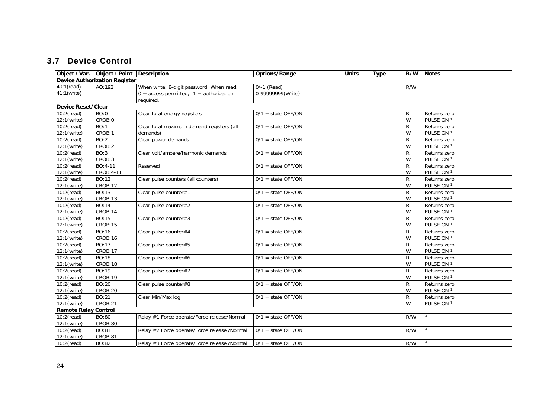#### 3.7 Device Control

<span id="page-23-3"></span><span id="page-23-2"></span><span id="page-23-1"></span><span id="page-23-0"></span>

|                             | Object : Var. Object : Point Description |                                              | Options/Range        | <b>Units</b> | <b>Type</b> | R/W          | <b>Notes</b> |
|-----------------------------|------------------------------------------|----------------------------------------------|----------------------|--------------|-------------|--------------|--------------|
|                             | <b>Device Authorization Register</b>     |                                              |                      |              |             |              |              |
| 40:1(read)                  | AO:192                                   | When write: 8-digit password. When read:     | $0/-1$ (Read)        |              |             | R/W          |              |
| 41:1(write)                 |                                          | $0 =$ access permitted, $-1 =$ authorization | 0-99999999(Write)    |              |             |              |              |
|                             |                                          | required.                                    |                      |              |             |              |              |
| <b>Device Reset/Clear</b>   |                                          |                                              |                      |              |             |              |              |
| $10:2$ (read)               | BO:0                                     | Clear total energy registers                 | $0/1$ = state OFF/ON |              |             | R            | Returns zero |
| 12:1(write)                 | CROB:0                                   |                                              |                      |              |             | W            | PULSE ON 1   |
| $10:2$ (read)               | BO:1                                     | Clear total maximum demand registers (all    | $0/1$ = state OFF/ON |              |             | R            | Returns zero |
| 12:1(write)                 | CROB:1                                   | demands)                                     |                      |              |             | W            | PULSE ON 1   |
| $10:2$ (read)               | BO:2                                     | Clear power demands                          | $0/1$ = state OFF/ON |              |             | $\mathsf R$  | Returns zero |
| 12:1(write)                 | CROB:2                                   |                                              |                      |              |             | W            | PULSE ON 1   |
| $10:2$ (read)               | BO:3                                     | Clear volt/ampere/harmonic demands           | $0/1$ = state OFF/ON |              |             | R            | Returns zero |
| 12:1(write)                 | CROB:3                                   |                                              |                      |              |             | W            | PULSE ON 1   |
| $10:2$ (read)               | BO:4-11                                  | Reserved                                     | $0/1$ = state OFF/ON |              |             | R            | Returns zero |
| 12:1(write)                 | CROB: 4-11                               |                                              |                      |              |             | W            | PULSE ON 1   |
| $10:2$ (read)               | BO:12                                    | Clear pulse counters (all counters)          | $0/1$ = state OFF/ON |              |             | ${\sf R}$    | Returns zero |
| 12:1(write)                 | CROB:12                                  |                                              |                      |              |             | W            | PULSE ON 1   |
| $10:2$ (read)               | BO:13                                    | Clear pulse counter#1                        | $0/1$ = state OFF/ON |              |             | ${\sf R}$    | Returns zero |
| 12:1(write)                 | CROB:13                                  |                                              |                      |              |             | W            | PULSE ON 1   |
| $10:2$ (read)               | BO:14                                    | Clear pulse counter#2                        | $0/1$ = state OFF/ON |              |             | R            | Returns zero |
| 12:1(write)                 | CROB:14                                  |                                              |                      |              |             | W            | PULSE ON 1   |
| $10:2$ (read)               | BO:15                                    | Clear pulse counter#3                        | $0/1$ = state OFF/ON |              |             | R            | Returns zero |
| 12:1(write)                 | CROB:15                                  |                                              |                      |              |             | W            | PULSE ON 1   |
| $10:2$ (read)               | BO:16                                    | Clear pulse counter#4                        | $0/1$ = state OFF/ON |              |             | R            | Returns zero |
| $12:1$ (write)              | CROB:16                                  |                                              |                      |              |             | W            | PULSE ON 1   |
| $10:2$ (read)               | BO:17                                    | Clear pulse counter#5                        | $0/1$ = state OFF/ON |              |             | R            | Returns zero |
| 12:1(write)                 | CROB:17                                  |                                              |                      |              |             | W            | PULSE ON 1   |
| $10:2$ (read)               | <b>BO:18</b>                             | Clear pulse counter#6                        | $0/1$ = state OFF/ON |              |             | $\mathsf{R}$ | Returns zero |
| 12:1(write)                 | CROB:18                                  |                                              |                      |              |             | W            | PULSE ON 1   |
| $10:2$ (read)               | BO:19                                    | Clear pulse counter#7                        | $0/1$ = state OFF/ON |              |             | $\mathsf{R}$ | Returns zero |
| 12:1(write)                 | CROB:19                                  |                                              |                      |              |             | W            | PULSE ON 1   |
| $10:2$ (read)               | BO:20                                    | Clear pulse counter#8                        | $0/1$ = state OFF/ON |              |             | R            | Returns zero |
| 12:1(write)                 | CROB:20                                  |                                              |                      |              |             | W            | PULSE ON 1   |
| $10:2$ (read)               | BO:21                                    | Clear Min/Max log                            | $0/1$ = state OFF/ON |              |             | R            | Returns zero |
| 12:1(write)                 | CROB:21                                  |                                              |                      |              |             | W            | PULSE ON 1   |
| <b>Remote Relay Control</b> |                                          |                                              |                      |              |             |              |              |
| $10:2$ (read)               | BO:80                                    | Relay #1 Force operate/Force release/Normal  | $0/1$ = state OFF/ON |              |             | R/W          |              |
| 12:1(write)                 | CROB:80                                  |                                              |                      |              |             |              |              |
| $10:2$ (read)               | BO:81                                    | Relay #2 Force operate/Force release /Normal | $0/1$ = state OFF/ON |              |             | R/W          |              |
| 12:1(write)                 | CROB:81                                  |                                              |                      |              |             |              |              |
| $10:2$ (read)               | BO:82                                    | Relay #3 Force operate/Force release /Normal | $0/1$ = state OFF/ON |              |             | R/W          |              |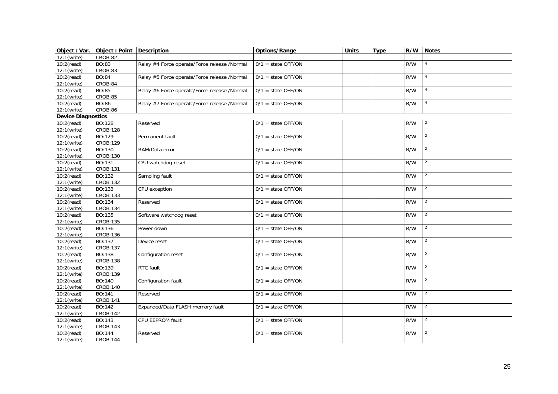<span id="page-24-0"></span>

| Object : Var.             | Object : Point | Description                                  | Options/Range                   | <b>Units</b> | <b>Type</b> | R/W | <b>Notes</b>   |
|---------------------------|----------------|----------------------------------------------|---------------------------------|--------------|-------------|-----|----------------|
| 12:1(write)               | CROB:82        |                                              |                                 |              |             |     |                |
| $10:2$ (read)             | BO:83          | Relay #4 Force operate/Force release /Normal | $0/1$ = state OFF/ON            |              |             | R/W |                |
| 12:1(write)               | CROB:83        |                                              |                                 |              |             |     |                |
| $10:2$ (read)             | BO:84          | Relay #5 Force operate/Force release /Normal | $0/1$ = state OFF/ON            |              |             | R/W |                |
| 12:1(write)               | CROB:84        |                                              |                                 |              |             |     |                |
| $10:2$ (read)             | BO:85          | Relay #6 Force operate/Force release /Normal | $0/1$ = state OFF/ON            |              |             | R/W |                |
| 12:1(write)               | CROB:85        |                                              |                                 |              |             |     |                |
| $10:2$ (read)             | BO:86          | Relay #7 Force operate/Force release /Normal | $\overline{0/1}$ = state OFF/ON |              |             | R/W |                |
| 12:1(write)               | CROB:86        |                                              |                                 |              |             |     |                |
| <b>Device Diagnostics</b> |                |                                              |                                 |              |             |     |                |
| $10:2$ (read)             | BO:128         | Reserved                                     | $0/1$ = state OFF/ON            |              |             | R/W | $\overline{2}$ |
| 12:1(write)               | CROB:128       |                                              |                                 |              |             |     |                |
| $10:2$ (read)             | BO:129         | Permanent fault                              | $0/1$ = state OFF/ON            |              |             | R/W | $\overline{2}$ |
| 12:1(write)               | CROB:129       |                                              |                                 |              |             |     |                |
| $10:2$ (read)             | BO:130         | RAM/Data error                               | $0/1$ = state OFF/ON            |              |             | R/W |                |
| 12:1(write)               | CROB:130       |                                              |                                 |              |             |     |                |
| $10:2$ (read)             | BO:131         | CPU watchdog reset                           | $0/1$ = state OFF/ON            |              |             | R/W | $\overline{2}$ |
| 12:1(write)               | CROB:131       |                                              |                                 |              |             |     |                |
| $10:2$ (read)             | BO:132         | Sampling fault                               | $0/1$ = state OFF/ON            |              |             | R/W |                |
| 12:1(write)               | CROB:132       |                                              |                                 |              |             |     |                |
| $10:2$ (read)             | BO:133         | CPU exception                                | $0/1$ = state OFF/ON            |              |             | R/W | $\overline{2}$ |
| $12:1$ (write)            | CROB:133       |                                              |                                 |              |             |     |                |
| $10:2$ (read)             | BO:134         | Reserved                                     | $0/1$ = state OFF/ON            |              |             | R/W | $\overline{2}$ |
| 12:1(write)               | CROB:134       |                                              |                                 |              |             |     |                |
| $10:2$ (read)             | BO:135         | Software watchdog reset                      | $0/1$ = state OFF/ON            |              |             | R/W | $\overline{2}$ |
| 12:1(write)               | CROB:135       |                                              |                                 |              |             |     |                |
| $10:2$ (read)             | BO:136         | Power down                                   | $0/1$ = state OFF/ON            |              |             | R/W | 2              |
| 12:1(write)               | CROB:136       |                                              |                                 |              |             |     |                |
| $10:2$ (read)             | BO:137         | Device reset                                 | $0/1$ = state OFF/ON            |              |             | R/W | $\overline{2}$ |
| 12:1(write)               | CROB:137       |                                              |                                 |              |             |     |                |
| $10:2$ (read)             | BO:138         | Configuration reset                          | $0/1$ = state OFF/ON            |              |             | R/W |                |
| 12:1(write)               | CROB:138       |                                              |                                 |              |             |     |                |
| $10:2$ (read)             | BO:139         | RTC fault                                    | $0/1$ = state OFF/ON            |              |             | R/W | $\overline{2}$ |
| 12:1(write)               | CROB:139       |                                              |                                 |              |             |     |                |
| $10:2$ (read)             | BO:140         | Configuration fault                          | $0/1$ = state OFF/ON            |              |             | R/W |                |
| 12:1(write)               | CROB:140       |                                              |                                 |              |             |     |                |
| $10:2$ (read)             | BO:141         | Reserved                                     | $0/1$ = state OFF/ON            |              |             | R/W | 2              |
| 12:1(write)               | CROB:141       |                                              |                                 |              |             |     |                |
| $10:2$ (read)             | BO:142         | Expanded/Data FLASH memory fault             | $0/1$ = state OFF/ON            |              |             | R/W | $\overline{2}$ |
| 12:1(write)               | CROB:142       |                                              |                                 |              |             |     |                |
| $10:2$ (read)             | BO:143         | CPU EEPROM fault                             | $0/1$ = state OFF/ON            |              |             | R/W |                |
| 12:1(write)               | CROB:143       |                                              |                                 |              |             |     |                |
| $10:2$ (read)             | BO:144         | Reserved                                     | $0/1$ = state OFF/ON            |              |             | R/W | $\overline{2}$ |
| 12:1(write)               | CROB:144       |                                              |                                 |              |             |     |                |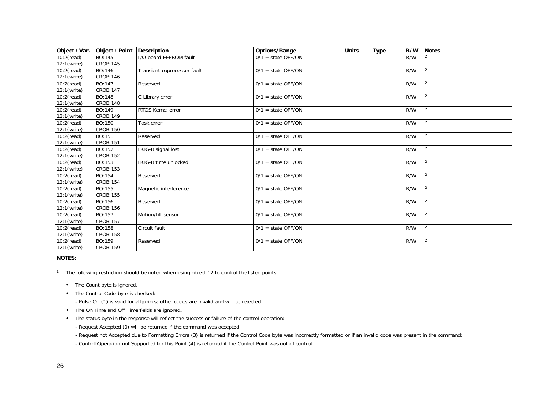| Object: Var.  | Object: Point   Description |                             | Options/Range        | <b>Units</b> | <b>Type</b> | R/W | <b>Notes</b>  |
|---------------|-----------------------------|-----------------------------|----------------------|--------------|-------------|-----|---------------|
| $10:2$ (read) | BO:145                      | I/O board EEPROM fault      | $0/1$ = state OFF/ON |              |             | R/W |               |
| 12:1(write)   | CROB:145                    |                             |                      |              |             |     |               |
| $10:2$ (read) | BO:146                      | Transient coprocessor fault | $0/1$ = state OFF/ON |              |             | R/W |               |
| 12:1(write)   | CROB:146                    |                             |                      |              |             |     |               |
| $10:2$ (read) | BO:147                      | Reserved                    | $0/1$ = state OFF/ON |              |             | R/W |               |
| 12:1(write)   | CROB:147                    |                             |                      |              |             |     |               |
| $10:2$ (read) | BO:148                      | C Library error             | $0/1$ = state OFF/ON |              |             | R/W | $\mathcal{P}$ |
| 12:1(write)   | <b>CROB:148</b>             |                             |                      |              |             |     |               |
| $10:2$ (read) | BO:149                      | RTOS Kernel error           | $0/1$ = state OFF/ON |              |             | R/W |               |
| 12:1(write)   | CROB:149                    |                             |                      |              |             |     |               |
| $10:2$ (read) | BO:150                      | Task error                  | $0/1$ = state OFF/ON |              |             | R/W |               |
| 12:1(write)   | <b>CROB:150</b>             |                             |                      |              |             |     |               |
| $10:2$ (read) | BO:151                      | Reserved                    | $0/1$ = state OFF/ON |              |             | R/W | $\mathcal{P}$ |
| 12:1(write)   | CROB:151                    |                             |                      |              |             |     |               |
| $10:2$ (read) | BO:152                      | IRIG-B signal lost          | $0/1$ = state OFF/ON |              |             | R/W |               |
| 12:1(write)   | CROB:152                    |                             |                      |              |             |     |               |
| $10:2$ (read) | BO:153                      | IRIG-B time unlocked        | $0/1$ = state OFF/ON |              |             | R/W |               |
| 12:1(write)   | CROB:153                    |                             |                      |              |             |     |               |
| $10:2$ (read) | BO:154                      | Reserved                    | $0/1$ = state OFF/ON |              |             | R/W |               |
| 12:1(write)   | <b>CROB:154</b>             |                             |                      |              |             |     |               |
| $10:2$ (read) | BO:155                      | Magnetic interference       | $0/1$ = state OFF/ON |              |             | R/W |               |
| 12:1(write)   | CROB:155                    |                             |                      |              |             |     |               |
| $10:2$ (read) | BO:156                      | Reserved                    | $0/1$ = state OFF/ON |              |             | R/W |               |
| 12:1(write)   | <b>CROB:156</b>             |                             |                      |              |             |     |               |
| $10:2$ (read) | BO:157                      | Motion/tilt sensor          | $0/1$ = state OFF/ON |              |             | R/W | 2             |
| 12:1(write)   | <b>CROB:157</b>             |                             |                      |              |             |     |               |
| $10:2$ (read) | BO:158                      | Circuit fault               | $0/1$ = state OFF/ON |              |             | R/W |               |
| 12:1(write)   | <b>CROB:158</b>             |                             |                      |              |             |     |               |
| $10:2$ (read) | BO:159                      | Reserved                    | $0/1$ = state OFF/ON |              |             | R/W |               |
| 12:1(write)   | CROB:159                    |                             |                      |              |             |     |               |

#### **NOTES:**

<sup>1</sup> The following restriction should be noted when using object 12 to control the listed points.

- The Count byte is ignored.
- The Control Code byte is checked:
	- Pulse On (1) is valid for all points; other codes are invalid and will be rejected.
- The On Time and Off Time fields are ignored.
- The status byte in the response will reflect the success or failure of the control operation:
	- Request Accepted (0) will be returned if the command was accepted;
	- Request not Accepted due to Formatting Errors (3) is returned if the Control Code byte was incorrectly formatted or if an invalid code was present in the command;
	- Control Operation not Supported for this Point (4) is returned if the Control Point was out of control.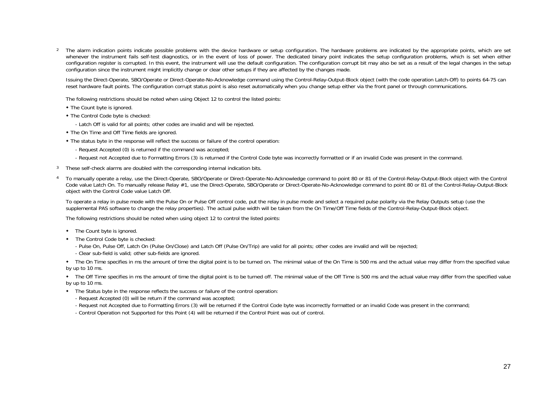<sup>2</sup> The alarm indication points indicate possible problems with the device hardware or setup configuration. The hardware problems are indicated by the appropriate points, which are set whenever the instrument fails self-test diagnostics, or in the event of loss of power. The dedicated binary point indicates the setup configuration problems, which is set when either configuration register is corrupted. In this event, the instrument will use the default configuration. The configuration corrupt bit may also be set as a result of the legal changes in the setup configuration since the instrument might implicitly change or clear other setups if they are affected by the changes made.

Issuing the Direct-Operate, SBO/Operate or Direct-Operate-No-Acknowledge command using the Control-Relay-Output-Block object (with the code operation Latch-Off) to points 64-75 can reset hardware fault points. The configuration corrupt status point is also reset automatically when you change setup either via the front panel or through communications.

The following restrictions should be noted when using Object 12 to control the listed points:

- The Count byte is ignored.
- The Control Code byte is checked:

- Latch Off is valid for all points; other codes are invalid and will be rejected.

- The On Time and Off Time fields are ignored.
- The status byte in the response will reflect the success or failure of the control operation:
	- Request Accepted (0) is returned if the command was accepted;
	- Request not Accepted due to Formatting Errors (3) is returned if the Control Code byte was incorrectly formatted or if an invalid Code was present in the command.
- <sup>3</sup> These self-check alarms are doubled with the corresponding internal indication bits.
- <sup>4</sup> To manually operate a relay, use the Direct-Operate, SBO/Operate or Direct-Operate-No-Acknowledge command to point 80 or 81 of the Control-Relay-Output-Block object with the Control Code value Latch On. To manually release Relay #1, use the Direct-Operate, SBO/Operate or Direct-Operate-No-Acknowledge command to point 80 or 81 of the Control-Relay-Output-Block object with the Control Code value Latch Off.

To operate a relay in pulse mode with the Pulse On or Pulse Off control code, put the relay in pulse mode and select a required pulse polarity via the Relay Outputs setup (use the supplemental PAS software to change the relay properties). The actual pulse width will be taken from the On Time/Off Time fields of the Control-Relay-Output-Block object.

The following restrictions should be noted when using object 12 to control the listed points:

- The Count byte is ignored.
- The Control Code byte is checked:
	- Pulse On, Pulse Off, Latch On (Pulse On/Close) and Latch Off (Pulse On/Trip) are valid for all points; other codes are invalid and will be rejected;
	- Clear sub-field is valid; other sub-fields are ignored.

 The On Time specifies in ms the amount of time the digital point is to be turned on. The minimal value of the On Time is 500 ms and the actual value may differ from the specified value by up to 10 ms.

• The Off Time specifies in ms the amount of time the digital point is to be turned off. The minimal value of the Off Time is 500 ms and the actual value may differ from the specified value by up to 10 ms.

The Status byte in the response reflects the success or failure of the control operation:

- Request Accepted (0) will be return if the command was accepted;

- Request not Accepted due to Formatting Errors (3) will be returned if the Control Code byte was incorrectly formatted or an invalid Code was present in the command;
- Control Operation not Supported for this Point (4) will be returned if the Control Point was out of control.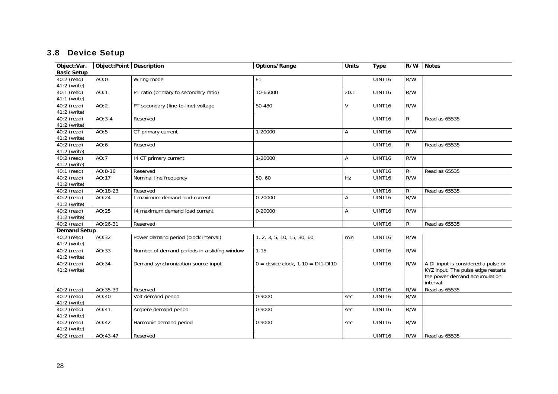### 3.8 Device Setup

<span id="page-27-2"></span><span id="page-27-1"></span><span id="page-27-0"></span>

| Object:Var.         | Object:Point   Description |                                              | Options/Range                         | <b>Units</b> | <b>Type</b>        | R/W          | <b>Notes</b>                        |
|---------------------|----------------------------|----------------------------------------------|---------------------------------------|--------------|--------------------|--------------|-------------------------------------|
| <b>Basic Setup</b>  |                            |                                              |                                       |              |                    |              |                                     |
| 40:2 (read)         | AO:0                       | Wiring mode                                  | F <sub>1</sub>                        |              | UINT16             | R/W          |                                     |
| 41:2 (write)        |                            |                                              |                                       |              |                    |              |                                     |
| 40:1 (read)         | AO:1                       | PT ratio (primary to secondary ratio)        | 10-65000                              | $\times$ 0.1 | UINT <sub>16</sub> | R/W          |                                     |
| 41:1 (write)        |                            |                                              |                                       |              |                    |              |                                     |
| 40:2 (read)         | AO:2                       | PT secondary (line-to-line) voltage          | 50-480                                | V            | UINT16             | R/W          |                                     |
| 41:2 (write)        |                            |                                              |                                       |              |                    |              |                                     |
| 40:2 (read)         | $AO:3-4$                   | Reserved                                     |                                       |              | UINT <sub>16</sub> | R.           | Read as 65535                       |
| 41:2 (write)        |                            |                                              |                                       |              |                    |              |                                     |
| 40:2 (read)         | AO:5                       | CT primary current                           | 1-20000                               | A            | UINT <sub>16</sub> | R/W          |                                     |
| 41:2 (write)        |                            |                                              |                                       |              |                    |              |                                     |
| 40:2 (read)         | AO:6                       | Reserved                                     |                                       |              | UINT16             | R.           | Read as 65535                       |
| 41:2 (write)        |                            |                                              |                                       |              |                    |              |                                     |
| 40:2 (read)         | AO:7                       | 14 CT primary current                        | 1-20000                               | A            | UINT16             | R/W          |                                     |
| 41:2 (write)        |                            |                                              |                                       |              |                    |              |                                     |
| 40:1 (read)         | AO:8-16                    | Reserved                                     |                                       |              | UINT16             | R.           | Read as 65535                       |
| 40:2 (read)         | AO:17                      | Nominal line frequency                       | 50,60                                 | Hz           | UINT16             | R/W          |                                     |
| 41:2 (write)        |                            |                                              |                                       |              |                    |              |                                     |
| 40:2 (read)         | AO:18-23                   | Reserved                                     |                                       |              | UINT <sub>16</sub> | R.           | Read as 65535                       |
| 40:2 (read)         | AO:24                      | I maximum demand load current                | 0-20000                               | Α            | UINT16             | R/W          |                                     |
| 41:2 (write)        |                            |                                              |                                       |              |                    |              |                                     |
| 40:2 (read)         | AO:25                      | 14 maximum demand load current               | 0-20000                               | A            | UINT <sub>16</sub> | R/W          |                                     |
| 41:2 (write)        |                            |                                              |                                       |              |                    |              |                                     |
| 40:2 (read)         | AO:26-31                   | Reserved                                     |                                       |              | UINT16             | $\mathsf{R}$ | Read as 65535                       |
| <b>Demand Setup</b> |                            |                                              |                                       |              |                    |              |                                     |
| 40:2 (read)         | AO:32                      | Power demand period (block interval)         | 1, 2, 3, 5, 10, 15, 30, 60            | min          | UINT <sub>16</sub> | R/W          |                                     |
| 41:2 (write)        |                            |                                              |                                       |              |                    |              |                                     |
| 40:2 (read)         | AO:33                      | Number of demand periods in a sliding window | $1 - 15$                              |              | UINT <sub>16</sub> | R/W          |                                     |
| 41:2 (write)        |                            |                                              |                                       |              |                    |              |                                     |
| 40:2 (read)         | AO:34                      | Demand synchronization source input          | $0 =$ device clock, $1-10 =$ DI1-DI10 |              | UINT16             | R/W          | A DI input is considered a pulse or |
| 41:2 (write)        |                            |                                              |                                       |              |                    |              | KYZ input. The pulse edge restarts  |
|                     |                            |                                              |                                       |              |                    |              | the power demand accumulation       |
|                     |                            |                                              |                                       |              |                    |              | interval.                           |
| 40:2 (read)         | AO:35-39                   | Reserved                                     |                                       |              | UINT16             | R/W          | Read as 65535                       |
| 40:2 (read)         | AO:40                      | Volt demand period                           | 0-9000                                | sec          | UINT <sub>16</sub> | R/W          |                                     |
| 41:2 (write)        |                            |                                              |                                       |              |                    |              |                                     |
| 40:2 (read)         | AO:41                      | Ampere demand period                         | 0-9000                                | sec          | UINT16             | R/W          |                                     |
| 41:2 (write)        |                            |                                              |                                       |              |                    |              |                                     |
| 40:2 (read)         | AO:42                      | Harmonic demand period                       | 0-9000                                | sec          | UINT16             | R/W          |                                     |
| 41:2 (write)        |                            |                                              |                                       |              |                    |              |                                     |
| 40:2 (read)         | AO:43-47                   | Reserved                                     |                                       |              | UINT16             | R/W          | Read as 65535                       |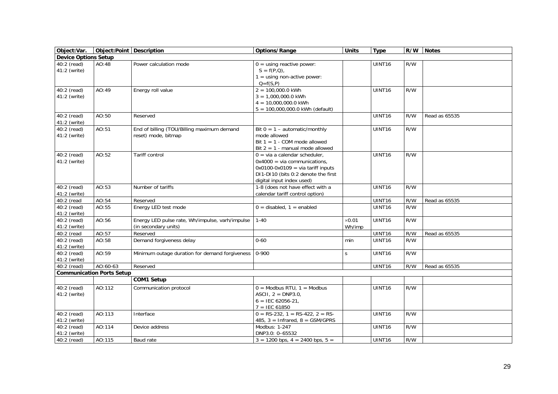<span id="page-28-1"></span><span id="page-28-0"></span>

| Object:Var.                 | Object:Point Description         |                                                                         | Options/Range                                                                                                                                                                  | <b>Units</b>            | <b>Type</b>        | R/W | <b>Notes</b>  |
|-----------------------------|----------------------------------|-------------------------------------------------------------------------|--------------------------------------------------------------------------------------------------------------------------------------------------------------------------------|-------------------------|--------------------|-----|---------------|
| <b>Device Options Setup</b> |                                  |                                                                         |                                                                                                                                                                                |                         |                    |     |               |
| 40:2 (read)<br>41:2 (write) | AO:48                            | Power calculation mode                                                  | $0 =$ using reactive power:<br>$S = f(P,Q)$ ,<br>$1 =$ using non-active power:<br>$Q = f(S, P)$                                                                                |                         | UINT16             | R/W |               |
| 40:2 (read)<br>41:2 (write) | AO:49                            | Energy roll value                                                       | $2 = 100,000.0$ kWh<br>$3 = 1,000,000.0$ kWh<br>$4 = 10,000,000.0$ kWh<br>$5 = 100,000,000.0$ kWh (default)                                                                    |                         | UINT16             | R/W |               |
| 40:2 (read)<br>41:2 (write) | AO:50                            | Reserved                                                                |                                                                                                                                                                                |                         | UINT16             | R/W | Read as 65535 |
| 40:2 (read)<br>41:2 (write) | AO:51                            | End of billing (TOU/Billing maximum demand<br>reset) mode, bitmap       | Bit $0 = 1 -$ automatic/monthly<br>mode allowed<br>Bit $1 = 1$ - COM mode allowed<br>Bit $2 = 1$ - manual mode allowed                                                         |                         | UINT16             | R/W |               |
| 40:2 (read)<br>41:2 (write) | AO:52                            | <b>Tariff control</b>                                                   | $0 = via a calendar scheduler$ .<br>$0x4000 = via communications$ ,<br>$0x0100-0x0109 = via tariff inputs$<br>DI1-DI10 (bits 0:2 denote the first<br>digital input index used) |                         | UINT16             | R/W |               |
| 40:2 (read)<br>41:2 (write) | AO:53                            | Number of tariffs                                                       | 1-8 (does not have effect with a<br>calendar tariff control option)                                                                                                            |                         | UINT16             | R/W |               |
| 40:2 (read                  | AO:54                            | Reserved                                                                |                                                                                                                                                                                |                         | UINT16             | R/W | Read as 65535 |
| 40:2 (read)<br>41:2 (write) | AO:55                            | Energy LED test mode                                                    | $0 =$ disabled, $1 =$ enabled                                                                                                                                                  |                         | UINT <sub>16</sub> | R/W |               |
| 40:2 (read)<br>41:2 (write) | AO:56                            | Energy LED pulse rate, Wh/impulse, varh/impulse<br>(in secondary units) | $1 - 40$                                                                                                                                                                       | $\times 0.01$<br>Wh/imp | UINT16             | R/W |               |
| 40:2 (read                  | AO:57                            | Reserved                                                                |                                                                                                                                                                                |                         | UINT16             | R/W | Read as 65535 |
| 40:2 (read)<br>41:2 (write) | AO:58                            | Demand forgiveness delay                                                | $0 - 60$                                                                                                                                                                       | min                     | UINT16             | R/W |               |
| 40:2 (read)<br>41:2 (write) | AO:59                            | Minimum outage duration for demand forgiveness                          | $0 - 900$                                                                                                                                                                      | $\mathsf{S}$            | UINT16             | R/W |               |
| 40:2 (read)                 | AO:60-63                         | Reserved                                                                |                                                                                                                                                                                |                         | UINT <sub>16</sub> | R/W | Read as 65535 |
|                             | <b>Communication Ports Setup</b> |                                                                         |                                                                                                                                                                                |                         |                    |     |               |
|                             |                                  | COM1 Setup                                                              |                                                                                                                                                                                |                         |                    |     |               |
| 40:2 (read)<br>41:2 (write) | AO:112                           | Communication protocol                                                  | $0 =$ Modbus RTU, $1 =$ Modbus<br>ASCII, $2 = DNP3.0$<br>$6 =$ IEC 62056-21,<br>$7 = IEC 61850$                                                                                |                         | UINT16             | R/W |               |
| 40:2 (read)<br>41:2 (write) | AO:113                           | Interface                                                               | $0 = RS-232$ , $1 = RS-422$ , $2 = RS-$<br>485, $3 = Infrared, 8 = GSM/GPRS$                                                                                                   |                         | UINT16             | R/W |               |
| 40:2 (read)<br>41:2 (write) | AO:114                           | Device address                                                          | Modbus: 1-247<br>DNP3.0: 0-65532                                                                                                                                               |                         | UINT <sub>16</sub> | R/W |               |
| 40:2 (read)                 | AO:115                           | Baud rate                                                               | $3 = 1200$ bps, $4 = 2400$ bps, $5 =$                                                                                                                                          |                         | UINT16             | R/W |               |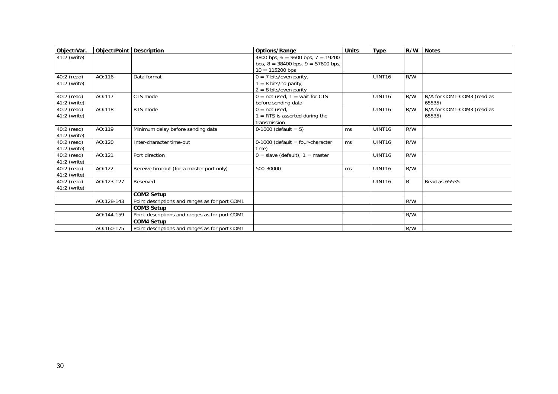| Object:Var.    | Object:Point | <b>Description</b>                             | Options/Range                          | <b>Units</b> | <b>Type</b>        | R/W          | <b>Notes</b>               |
|----------------|--------------|------------------------------------------------|----------------------------------------|--------------|--------------------|--------------|----------------------------|
| $41:2$ (write) |              |                                                | 4800 bps, $6 = 9600$ bps, $7 = 19200$  |              |                    |              |                            |
|                |              |                                                | bps, $8 = 38400$ bps, $9 = 57600$ bps, |              |                    |              |                            |
|                |              |                                                | $10 = 115200$ bps                      |              |                    |              |                            |
| 40:2 (read)    | AO:116       | Data format                                    | $0 = 7$ bits/even parity,              |              | UINT <sub>16</sub> | R/W          |                            |
| 41:2 (write)   |              |                                                | = 8 bits/no parity,                    |              |                    |              |                            |
|                |              |                                                | $2 = 8$ bits/even parity               |              |                    |              |                            |
| 40:2 (read)    | AO:117       | CTS mode                                       | $0 = not used, 1 = wait for CTS$       |              | UINT <sub>16</sub> | R/W          | N/A for COM1-COM3 (read as |
| 41:2 (write)   |              |                                                | before sending data                    |              |                    |              | 65535)                     |
| 40:2 (read)    | AO:118       | RTS mode                                       | $0 = not used$ ,                       |              | UINT <sub>16</sub> | R/W          | N/A for COM1-COM3 (read as |
| $41:2$ (write) |              |                                                | $=$ RTS is asserted during the         |              |                    |              | 65535)                     |
|                |              |                                                | transmission                           |              |                    |              |                            |
| 40:2 (read)    | AO:119       | Minimum delay before sending data              | 0-1000 (default = $5$ )                | ms           | UINT <sub>16</sub> | R/W          |                            |
| 41:2 (write)   |              |                                                |                                        |              |                    |              |                            |
| 40:2 (read)    | AO:120       | Inter-character time-out                       | $0-1000$ (default = four-character     | ms           | UINT <sub>16</sub> | R/W          |                            |
| 41:2 (write)   |              |                                                | time)                                  |              |                    |              |                            |
| 40:2 (read)    | AO:121       | Port direction                                 | $0 =$ slave (default), $1 =$ master    |              | UINT <sub>16</sub> | R/W          |                            |
| 41:2 (write)   |              |                                                |                                        |              |                    |              |                            |
| 40:2 (read)    | AO:122       | Receive timeout (for a master port only)       | 500-30000                              | ms           | UINT <sub>16</sub> | R/W          |                            |
| 41:2 (write)   |              |                                                |                                        |              |                    |              |                            |
| $40:2$ (read)  | AO:123-127   | Reserved                                       |                                        |              | UINT <sub>16</sub> | $\mathsf{R}$ | Read as 65535              |
| 41:2 (write)   |              |                                                |                                        |              |                    |              |                            |
|                |              | <b>COM2 Setup</b>                              |                                        |              |                    |              |                            |
|                | AO:128-143   | Point descriptions and ranges as for port COM1 |                                        |              |                    | R/W          |                            |
|                |              | COM3 Setup                                     |                                        |              |                    |              |                            |
|                | AO:144-159   | Point descriptions and ranges as for port COM1 |                                        |              |                    | R/W          |                            |
|                |              | <b>COM4 Setup</b>                              |                                        |              |                    |              |                            |
|                | AO:160-175   | Point descriptions and ranges as for port COM1 |                                        |              |                    | R/W          |                            |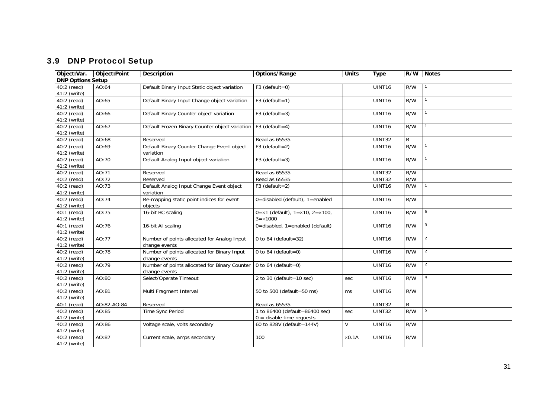### 3.9 DNP Protocol Setup

<span id="page-30-1"></span><span id="page-30-0"></span>

| Object:Var.                 | Object:Point | <b>Description</b>                                              | Options/Range                                | <b>Units</b>  | <b>Type</b>        | R/W            | <b>Notes</b>   |
|-----------------------------|--------------|-----------------------------------------------------------------|----------------------------------------------|---------------|--------------------|----------------|----------------|
| <b>DNP Options Setup</b>    |              |                                                                 |                                              |               |                    |                |                |
| 40:2 (read)                 | AO:64        | Default Binary Input Static object variation                    | $F3$ (default=0)                             |               | UINT16             | R/W            |                |
| 41:2 (write)                |              |                                                                 |                                              |               |                    |                |                |
| 40:2 (read)                 | AO:65        | Default Binary Input Change object variation                    | F3 (default=1)                               |               | UINT16             | R/W            |                |
| 41:2 (write)                |              |                                                                 |                                              |               |                    |                |                |
| 40:2 (read)                 | AO:66        | Default Binary Counter object variation                         | F3 (default=3)                               |               | UINT16             | R/W            |                |
| 41:2 (write)                |              |                                                                 |                                              |               |                    |                |                |
| 40:2 (read)                 | AO:67        | Default Frozen Binary Counter object variation   F3 (default=4) |                                              |               | UINT16             | R/W            |                |
| 41:2 (write)                |              |                                                                 |                                              |               |                    |                |                |
| 40:2 (read)                 | AO:68        | Reserved                                                        | Read as 65535                                |               | UINT32             | $\overline{R}$ |                |
| 40:2 (read)                 | AO:69        | Default Binary Counter Change Event object                      | $F3$ (default=2)                             |               | <b>UINT16</b>      | R/W            |                |
| 41:2 (write)                |              | variation                                                       |                                              |               |                    |                |                |
| 40:2 (read)                 | AO:70        | Default Analog Input object variation                           | $F3$ (default=3)                             |               | UINT16             | R/W            |                |
| 41:2 (write)                |              |                                                                 |                                              |               |                    |                |                |
| 40:2 (read)                 | AO:71        | Reserved                                                        | Read as 65535                                |               | UINT32             | R/W            |                |
| 40:2 (read)                 | AO:72        | Reserved                                                        | Read as 65535                                |               | <b>UINT32</b>      | R/W            |                |
| 40:2 (read)                 | AO:73        | Default Analog Input Change Event object                        | $F3$ (default=2)                             |               | UINT16             | R/W            |                |
| 41:2 (write)                |              | variation                                                       |                                              |               |                    |                |                |
| 40:2 (read)                 | AO:74        | Re-mapping static point indices for event                       | 0=disabled (default), 1=enabled              |               | UINT16             | R/W            |                |
| 41:2 (write)                |              | objects                                                         |                                              |               |                    |                |                |
| 40:1 (read)                 | AO:75        | 16-bit BC scaling                                               | $0 = x1$ (default), $1 = x10$ , $2 = x100$ , |               | UINT16             | R/W            | 6              |
| 41:2 (write)                |              |                                                                 | $3 = \times 1000$                            |               |                    |                |                |
| 40:1 (read)                 | AO:76        | 16-bit AI scaling                                               | $0 =$ disabled, 1=enabled (default)          |               | <b>UINT16</b>      | R/W            |                |
| 41:2 (write)                |              |                                                                 |                                              |               |                    |                |                |
| 40:2 (read)                 | AO:77        | Number of points allocated for Analog Input                     | 0 to 64 (default = 32)                       |               | UINT <sub>16</sub> | R/W            | $\overline{2}$ |
| 41:2 (write)                |              | change events                                                   |                                              |               |                    |                |                |
| 40:2 (read)                 | AO:78        | Number of points allocated for Binary Input                     | 0 to 64 (default=0)                          |               | UINT16             | R/W            | $\sqrt{2}$     |
| 41:2 (write)                |              | change events                                                   |                                              |               |                    |                |                |
| 40:2 (read)                 | AO:79        | Number of points allocated for Binary Counter                   | 0 to 64 (default=0)                          |               | <b>UINT16</b>      | R/W            | $\overline{2}$ |
| 41:2 (write)                |              | change events                                                   |                                              |               |                    |                |                |
| 40:2 (read)                 | AO:80        | Select/Operate Timeout                                          | 2 to 30 (default=10 sec)                     | sec           | UINT16             | R/W            |                |
| 41:2 (write)                |              |                                                                 |                                              |               |                    |                |                |
| 40:2 (read)                 | AO:81        | Multi Fragment Interval                                         | 50 to 500 (default=50 ms)                    | ms            | UINT16             | R/W            |                |
| 41:2 (write)                |              |                                                                 |                                              |               |                    |                |                |
| 40:1 (read)                 | AO:82-AO:84  | Reserved                                                        | Read as 65535                                |               | UINT32             | $\mathsf{R}$   |                |
| 40:2 (read)                 | AO:85        | Time Sync Period                                                | 1 to 86400 (default=86400 sec)               | sec           | UINT32             | R/W            |                |
| 41:2 (write)                |              |                                                                 | $0 =$ disable time requests                  |               |                    |                |                |
| 40:2 (read)<br>41:2 (write) | AO:86        | Voltage scale, volts secondary                                  | 60 to 828V (default=144V)                    | V             | UINT16             | R/W            |                |
|                             |              |                                                                 |                                              |               |                    |                |                |
| 40:2 (read)<br>41:2 (write) | AO:87        | Current scale, amps secondary                                   | 100                                          | $\times 0.1A$ | UINT16             | R/W            |                |
|                             |              |                                                                 |                                              |               |                    |                |                |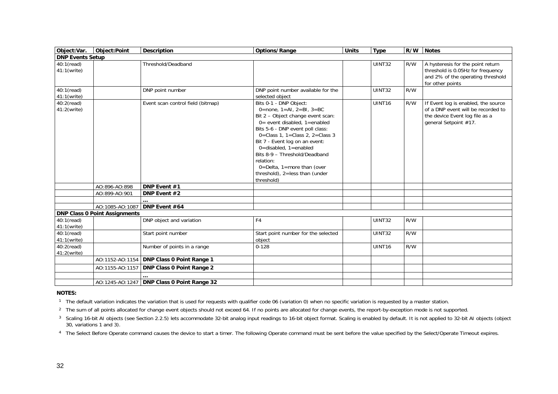| Object:Var.                     | <b>Object:Point</b>                  | <b>Description</b>                           | Options/Range                                                                                                                                                                                                                                                                                                                                                                                                              | <b>Units</b> | <b>Type</b>        | R/W | <b>Notes</b>                                                                                                                         |
|---------------------------------|--------------------------------------|----------------------------------------------|----------------------------------------------------------------------------------------------------------------------------------------------------------------------------------------------------------------------------------------------------------------------------------------------------------------------------------------------------------------------------------------------------------------------------|--------------|--------------------|-----|--------------------------------------------------------------------------------------------------------------------------------------|
| <b>DNP Events Setup</b>         |                                      |                                              |                                                                                                                                                                                                                                                                                                                                                                                                                            |              |                    |     |                                                                                                                                      |
| 40:1(read)<br>41:1(write)       |                                      | Threshold/Deadband                           |                                                                                                                                                                                                                                                                                                                                                                                                                            |              | UINT32             | R/W | A hysteresis for the point return<br>threshold is 0.05Hz for frequency<br>and 2% of the operating threshold<br>for other points      |
| 40:1(read)<br>41:1(write)       |                                      | DNP point number                             | DNP point number available for the<br>selected object                                                                                                                                                                                                                                                                                                                                                                      |              | UINT32             | R/W |                                                                                                                                      |
| $40:2$ (read)<br>41:2(write)    |                                      | Event scan control field (bitmap)            | Bits 0-1 - DNP Object:<br>0=none, $1 = AI$ , $2 = BI$ , $3 = BC$<br>Bit 2 - Object change event scan:<br>$0 =$ event disabled, 1=enabled<br>Bits 5-6 - DNP event poll class:<br>$0 = Class 1, 1 = Class 2, 2 = Class 3$<br>Bit 7 - Event log on an event:<br>$0 =$ disabled, $1 =$ enabled<br>Bits 8-9 - Threshold/Deadband<br>relation:<br>$0 =$ Delta, 1=more than (over<br>threshold), 2=less than (under<br>threshold) |              | UINT16             | R/W | If Event log is enabled, the source<br>of a DNP event will be recorded to<br>the device Event log file as a<br>general Setpoint #17. |
|                                 | AO:896-AO:898                        | DNP Event #1                                 |                                                                                                                                                                                                                                                                                                                                                                                                                            |              |                    |     |                                                                                                                                      |
|                                 | AO:899-AO:901                        | DNP Event #2                                 |                                                                                                                                                                                                                                                                                                                                                                                                                            |              |                    |     |                                                                                                                                      |
|                                 |                                      |                                              |                                                                                                                                                                                                                                                                                                                                                                                                                            |              |                    |     |                                                                                                                                      |
|                                 | AO:1085-AO:1087                      | DNP Event #64                                |                                                                                                                                                                                                                                                                                                                                                                                                                            |              |                    |     |                                                                                                                                      |
|                                 | <b>DNP Class 0 Point Assignments</b> |                                              |                                                                                                                                                                                                                                                                                                                                                                                                                            |              |                    |     |                                                                                                                                      |
| 40:1(read)<br>41:1(write)       |                                      | DNP object and variation                     | F <sub>4</sub>                                                                                                                                                                                                                                                                                                                                                                                                             |              | UINT32             | R/W |                                                                                                                                      |
| $40:1$ (read)<br>$41:1$ (write) |                                      | Start point number                           | Start point number for the selected<br>object                                                                                                                                                                                                                                                                                                                                                                              |              | <b>UINT32</b>      | R/W |                                                                                                                                      |
| 40:2(read)<br>41:2(write)       |                                      | Number of points in a range                  | $0 - 128$                                                                                                                                                                                                                                                                                                                                                                                                                  |              | UINT <sub>16</sub> | R/W |                                                                                                                                      |
|                                 | AO:1152-AO:1154                      | DNP Class 0 Point Range 1                    |                                                                                                                                                                                                                                                                                                                                                                                                                            |              |                    |     |                                                                                                                                      |
|                                 | AO:1155-AO:1157                      | <b>DNP Class 0 Point Range 2</b>             |                                                                                                                                                                                                                                                                                                                                                                                                                            |              |                    |     |                                                                                                                                      |
|                                 |                                      |                                              |                                                                                                                                                                                                                                                                                                                                                                                                                            |              |                    |     |                                                                                                                                      |
|                                 |                                      | AO:1245-AO:1247   DNP Class 0 Point Range 32 |                                                                                                                                                                                                                                                                                                                                                                                                                            |              |                    |     |                                                                                                                                      |

#### **NOTES:**

<sup>1</sup> The default variation indicates the variation that is used for requests with qualifier code 06 (variation 0) when no specific variation is requested by a master station.

<sup>2</sup> The sum of all points allocated for change event objects should not exceed 64. If no points are allocated for change events, the report-by-exception mode is not supported.

<span id="page-31-1"></span><span id="page-31-0"></span>4 The Select Before Operate command causes the device to start a timer. The following Operate command must be sent before the value specified by the Select/Operate Timeout expires.

<sup>&</sup>lt;sup>3</sup> Scaling 16-bit AI objects (see Section 2.2.5) lets accommodate 32-bit analog input readings to 16-bit object format. Scaling is enabled by default. It is not applied to 32-bit AI objects (object 30, variations 1 and 3).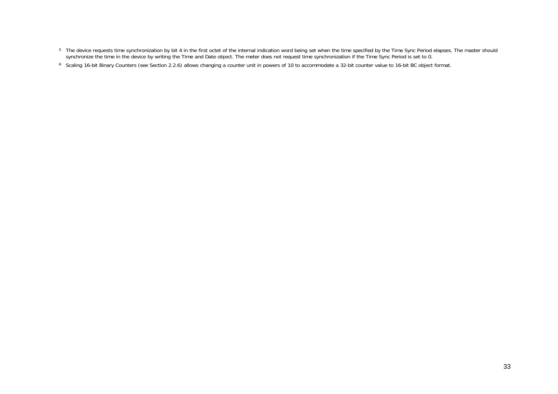- $^5$  The device requests time synchronization by bit 4 in the first octet of the internal indication word being set when the time specified by the Time Sync Period elapses. The master should synchronize the time in the device by writing the Time and Date object. The meter does not request time synchronization if the Time Sync Period is set to 0.
- 6 Scaling 16-bit Binary Counters (see Section 2.2.6) allows changing a counter unit in powers of 10 to accommodate a 32-bit counter value to 16-bit BC object format.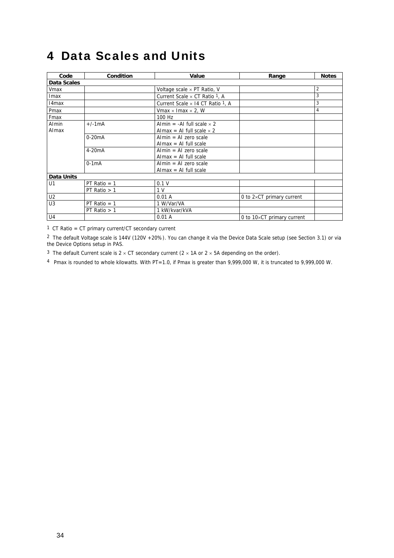## <span id="page-33-0"></span>4 Data Scales and Units

<span id="page-33-1"></span>

| Code              | Condition      | Value                                                                 | Range                              | <b>Notes</b> |
|-------------------|----------------|-----------------------------------------------------------------------|------------------------------------|--------------|
| Data Scales       |                |                                                                       |                                    |              |
| Vmax              |                | Voltage scale × PT Ratio, V                                           |                                    | 2            |
| Imax              |                | Current Scale $\times$ CT Ratio <sup>1</sup> , A                      |                                    | 3            |
| 14 <sub>max</sub> |                | Current Scale $\times$ 14 CT Ratio <sup>1</sup> , A                   |                                    | 3            |
| Pmax              |                | Vmax $\times$ Imax $\times$ 2, W                                      |                                    | 4            |
| Fmax              |                | 100 Hz                                                                |                                    |              |
| Almin<br>Almax    | $+/-1mA$       | Almin = -AI full scale $\times$ 2<br>Almax = Al full scale $\times$ 2 |                                    |              |
|                   | $0-20mA$       | $Almin = Al$ zero scale<br>$Almax = Al full scale$                    |                                    |              |
|                   | $4-20mA$       | $Almin = Al$ zero scale<br>$Almax = Al full scale$                    |                                    |              |
|                   | $0-1mA$        | $Almin = Al$ zero scale<br>$Almax = Al full scale$                    |                                    |              |
| <b>Data Units</b> |                |                                                                       |                                    |              |
| U1                | PT Ratio $= 1$ | 0.1V                                                                  |                                    |              |
|                   | PT Ratio $> 1$ | 1 <sub>V</sub>                                                        |                                    |              |
| U <sub>2</sub>    |                | 0.01 A                                                                | 0 to $2\times$ CT primary current  |              |
| U3                | PT Ratio $= 1$ | 1 W/Var/VA                                                            |                                    |              |
|                   | PT Ratio $> 1$ | 1 kW/kvar/kVA                                                         |                                    |              |
| U4                |                | 0.01 A                                                                | 0 to $10\times$ CT primary current |              |

<span id="page-33-2"></span>1 CT Ratio = CT primary current/CT secondary current

2 The default Voltage scale is 144V (120V +20%). You can change it via the Device Data Scale setup (see Section 3.1) or via the Device Options setup in PAS.

<sup>3</sup> The default Current scale is 2  $\times$  CT secondary current (2  $\times$  1A or 2  $\times$  5A depending on the order).

4 Pmax is rounded to whole kilowatts. With PT=1.0, if Pmax is greater than 9,999,000 W, it is truncated to 9,999,000 W.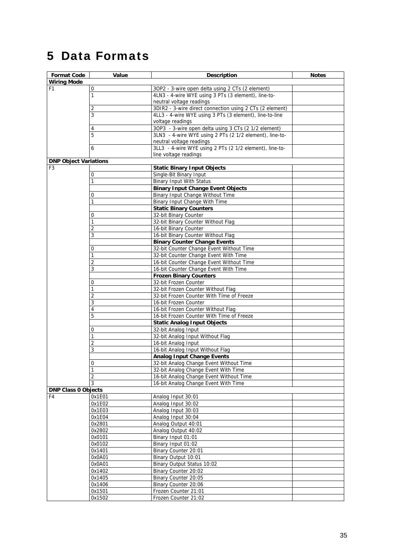# <span id="page-34-0"></span>5 Data Formats

<span id="page-34-3"></span><span id="page-34-2"></span><span id="page-34-1"></span>

| <b>Format Code</b>           | Value          | <b>Description</b>                                          | <b>Notes</b> |
|------------------------------|----------------|-------------------------------------------------------------|--------------|
| <b>Wiring Mode</b>           |                |                                                             |              |
| F <sub>1</sub>               | 0              | 3OP2 - 3-wire open delta using 2 CTs (2 element)            |              |
|                              | $\mathbf{1}$   | 4LN3 - 4-wire WYE using 3 PTs (3 element), line-to-         |              |
|                              |                | neutral voltage readings                                    |              |
|                              | 2              | 3DIR2 - 3-wire direct connection using 2 CTs (2 element)    |              |
|                              | 3              | 4LL3 - 4-wire WYE using 3 PTs (3 element), line-to-line     |              |
|                              |                | voltage readings                                            |              |
|                              | 4              | 3OP3 - 3-wire open delta using 3 CTs (2 1/2 element)        |              |
|                              | 5              | 3LN3 - 4-wire WYE using 2 PTs (2 1/2 element), line-to-     |              |
|                              |                | neutral voltage readings                                    |              |
|                              | 6              | 3LL3 - 4-wire WYE using 2 PTs (2 1/2 element), line-to-     |              |
|                              |                | line voltage readings                                       |              |
| <b>DNP Object Variations</b> |                |                                                             |              |
| F <sub>3</sub>               |                | <b>Static Binary Input Objects</b>                          |              |
|                              | 0              | Single-Bit Binary Input                                     |              |
|                              | 1              | <b>Binary Input With Status</b>                             |              |
|                              |                | <b>Binary Input Change Event Objects</b>                    |              |
|                              | 0              | Binary Input Change Without Time                            |              |
|                              | 1              | Binary Input Change With Time                               |              |
|                              |                | <b>Static Binary Counters</b>                               |              |
|                              | 0              | 32-bit Binary Counter                                       |              |
|                              | 1              | 32-bit Binary Counter Without Flag                          |              |
|                              | $\overline{2}$ | 16-bit Binary Counter<br>16-bit Binary Counter Without Flag |              |
|                              | 3              | <b>Binary Counter Change Events</b>                         |              |
|                              |                | 32-bit Counter Change Event Without Time                    |              |
|                              | 0<br>1         | 32-bit Counter Change Event With Time                       |              |
|                              | 2              | 16-bit Counter Change Event Without Time                    |              |
|                              | 3              | 16-bit Counter Change Event With Time                       |              |
|                              |                | <b>Frozen Binary Counters</b>                               |              |
|                              | 0              | 32-bit Frozen Counter                                       |              |
|                              | 1              | 32-bit Frozen Counter Without Flag                          |              |
|                              | $\overline{2}$ | 32-bit Frozen Counter With Time of Freeze                   |              |
|                              | 3              | 16-bit Frozen Counter                                       |              |
|                              | 4              | 16-bit Frozen Counter Without Flag                          |              |
|                              | 5              | 16-bit Frozen Counter With Time of Freeze                   |              |
|                              |                | <b>Static Analog Input Objects</b>                          |              |
|                              | 0              | 32-bit Analog Input                                         |              |
|                              | 1              | 32-bit Analog Input Without Flag                            |              |
|                              | 2              | 16-bit Analog Input                                         |              |
|                              | 3              | 16-bit Analog Input Without Flag                            |              |
|                              |                | <b>Analog Input Change Events</b>                           |              |
|                              | 0              | 32-bit Analog Change Event Without Time                     |              |
|                              | 1              | 32-bit Analog Change Event With Time                        |              |
|                              | $\overline{2}$ | 16-bit Analog Change Event Without Time                     |              |
|                              | 3              | 16-bit Analog Change Event With Time                        |              |
| <b>DNP Class 0 Objects</b>   |                |                                                             |              |
| F4                           | 0x1E01         | Analog Input 30:01                                          |              |
|                              | 0x1E02         | Analog Input 30:02                                          |              |
|                              | 0x1E03         | Analog Input 30:03                                          |              |
|                              | 0x1E04         | Analog Input 30:04                                          |              |
|                              | 0x2801         | Analog Output 40:01                                         |              |
|                              | 0x2802         | Analog Output 40:02                                         |              |
|                              | 0x0101         | Binary Input 01:01                                          |              |
|                              | 0x0102         | Binary Input 01:02                                          |              |
|                              | 0x1401         | Binary Counter 20:01                                        |              |
|                              | 0x0A01         | Binary Output 10:01                                         |              |
|                              | 0x0A01         | Binary Output Status 10:02                                  |              |
|                              | 0x1402         | Binary Counter 20:02                                        |              |
|                              | 0x1405         | Binary Counter 20:05                                        |              |
|                              | 0x1406         | Binary Counter 20:06                                        |              |
|                              | 0x1501         | Frozen Counter 21:01                                        |              |
|                              | 0x1502         | Frozen Counter 21:02                                        |              |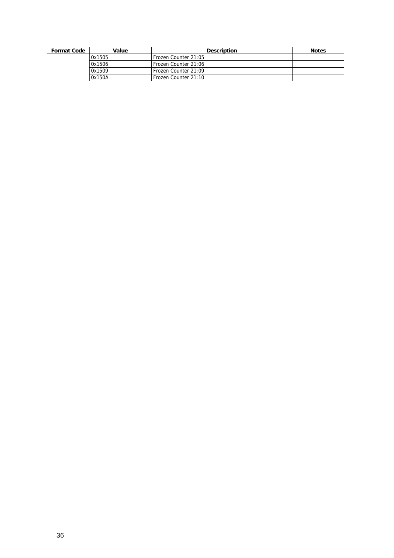| <b>Format Code</b> | Value  | <b>Description</b>   | <b>Notes</b> |
|--------------------|--------|----------------------|--------------|
|                    | 0x1505 | Frozen Counter 21:05 |              |
|                    | 0x1506 | Frozen Counter 21:06 |              |
|                    | 0x1509 | Frozen Counter 21:09 |              |
|                    | 0x150A | Frozen Counter 21:10 |              |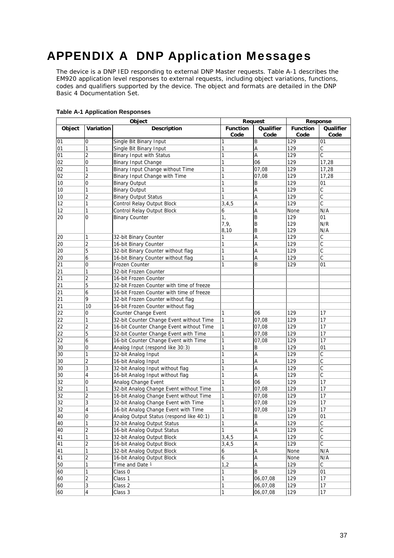# <span id="page-36-0"></span>APPENDIX A DNP Application Messages

The device is a DNP IED responding to external DNP Master requests. Table A-1 describes the EM920 application level responses to external requests, including object variations, functions, codes and qualifiers supported by the device. The object and formats are detailed in the DNP Basic 4 Documentation Set.

|        |                         | Object                                    |                         | Request                   |                         | Response                |
|--------|-------------------------|-------------------------------------------|-------------------------|---------------------------|-------------------------|-------------------------|
| Object | Variation               | <b>Description</b>                        | <b>Function</b><br>Code | Qualifier<br>Code         | <b>Function</b><br>Code | Qualifier<br>Code       |
| 01     | 0                       | Single Bit Binary Input                   | 1                       | B                         | 129                     | 01                      |
| 01     | $\mathbf{1}$            | Single Bit Binary Input                   | 1                       | A                         | 129                     | $\mathsf C$             |
| 01     | $\overline{2}$          | Binary Input with Status                  | $\mathbf{1}$            | Α                         | 129                     | $\overline{\mathsf{C}}$ |
| 02     | $\overline{0}$          | Binary Input Change                       | 1                       | 06                        | 129                     | 17,28                   |
| 02     | 1                       | Binary Input Change without Time          | 1                       | 07,08                     | 129                     | 17,28                   |
| 02     | $\overline{2}$          | Binary Input Change with Time             | 1                       | 07,08                     | 129                     | 17,28                   |
| 10     | 0                       | <b>Binary Output</b>                      | 1                       | B                         | 129                     | 01                      |
| 10     | $\mathbf{1}$            | <b>Binary Output</b>                      | 1                       | Α                         | 129                     | $\overline{C}$          |
| 10     | $\overline{2}$          | <b>Binary Output Status</b>               | 1                       | Α                         | 129                     | $\overline{C}$          |
| 12     | 1                       | Control Relay Output Block                | 3,4,5                   | Α                         | 129                     | $\mathsf{C}$            |
| 12     | 1                       | Control Relay Output Block                | 6                       | A                         | None                    | N/A                     |
| 20     | 0                       | <b>Binary Counter</b>                     | $\mathbf{1},$           | B                         | 129                     | 01                      |
|        |                         |                                           | 7, 9,                   | B                         | 129                     | N/R                     |
|        |                         |                                           | 8,10                    | B                         | 129                     | N/A                     |
| 20     | $\mathbf{1}$            | 32-bit Binary Counter                     | 1                       | A                         | 129                     | $\overline{\text{c}}$   |
| 20     | $\overline{\mathbf{c}}$ | 16-bit Binary Counter                     | 1                       | A                         | 129                     | $\mathsf C$             |
| 20     | 5                       | 32-bit Binary Counter without flag        | 1                       | Α                         | 129                     | $\mathsf C$             |
| 20     | 6                       | 16-bit Binary Counter without flag        | 1                       | A                         | 129                     | $\overline{c}$          |
| 21     | 0                       | Frozen Counter                            | 1                       | B                         | 129                     | 01                      |
| 21     | $\mathbf{1}$            | 32-bit Frozen Counter                     |                         |                           |                         |                         |
| 21     | $\overline{2}$          | 16-bit Frozen Counter                     |                         |                           |                         |                         |
| 21     | 5                       | 32-bit Frozen Counter with time of freeze |                         |                           |                         |                         |
| 21     | 6                       | 16-bit Frozen Counter with time of freeze |                         |                           |                         |                         |
| 21     | 9                       | 32-bit Frozen Counter without flag        |                         |                           |                         |                         |
| 21     | 10                      | 16-bit Frozen Counter without flag        |                         |                           |                         |                         |
| 22     | 0                       | Counter Change Event                      | 1                       | 06                        | 129                     | 17                      |
| 22     | 1                       | 32-bit Counter Change Event without Time  | 1                       | 07,08                     | 129                     | 17                      |
| 22     | 2                       | 16-bit Counter Change Event without Time  | 1                       | 07,08                     | 129                     | 17                      |
| 22     | $\overline{5}$          | 32-bit Counter Change Event with Time     | 1                       | 07,08                     | 129                     | 17                      |
| 22     | 6                       | 16-bit Counter Change Event with Time     | 1                       | 07,08                     | 129                     | 17                      |
| 30     | 0                       | Analog Input (respond like 30:3)          | 1                       | B                         | 129                     | 01                      |
| 30     | 1                       | 32-bit Analog Input                       | 1                       | Α                         | 129                     | $\overline{C}$          |
| 30     | $\overline{2}$          | 16-bit Analog Input                       | 1                       | A                         | 129                     | $\overline{c}$          |
| 30     | 3                       | 32-bit Analog Input without flag          | 1                       | A                         | 129                     | $\mathsf{C}$            |
| 30     | 4                       | 16-bit Analog Input without flag          | 1                       | Α                         | 129                     | C                       |
| 32     | 0                       | Analog Change Event                       | 1                       | 06                        | 129                     | 17                      |
| 32     | 1                       | 32-bit Analog Change Event without Time   | $\mathbf{1}$            | 07,08                     | 129                     | 17                      |
| 32     | $\overline{2}$          | 16-bit Analog Change Event without Time   | 1                       | 07,08                     | 129                     | 17                      |
| 32     | 3                       | 32-bit Analog Change Event with Time      | 1                       | 07,08                     | 129                     | 17                      |
| 32     | 4                       | 16-bit Analog Change Event with Time      | 1                       | 07,08                     | 129                     | 17                      |
| 40     | $\overline{0}$          | Analog Output Status (respond like 40:1)  | $\overline{1}$          | $\overline{\mathsf{B}}$   | 129                     | 01                      |
| 40     | 1                       | 32-bit Analog Output Status               | 1                       | A                         | 129                     | $\overline{\mathrm{c}}$ |
| 40     | 2                       | 16-bit Analog Output Status               | 1                       | Α                         | 129                     | $\mathsf C$             |
| 41     | 1                       | 32-bit Analog Output Block                | 3, 4, 5                 | A                         | 129                     | $\overline{\text{c}}$   |
| 41     | $\overline{c}$          | 16-bit Analog Output Block                | 3, 4, 5                 | A                         | 129                     | $\overline{\mathrm{c}}$ |
| 41     | 1                       | 32-bit Analog Output Block                | 6                       | A                         | None                    | N/A                     |
| 41     | $\overline{2}$          | 16-bit Analog Output Block                | 6                       | A                         | None                    | N/A                     |
| 50     | 1                       | Time and Date 1                           | 1,2                     | $\boldsymbol{\mathsf{A}}$ | 129                     | $\overline{\mathrm{c}}$ |
| 60     | $\mathbf{1}$            | Class 0                                   | 1                       | B                         | 129                     | 01                      |
| 60     | $\overline{c}$          | Class 1                                   | 1                       | 06,07,08                  | 129                     | 17                      |
| 60     | $\overline{3}$          | Class 2                                   | 1                       | 06,07,08                  | 129                     | $17\,$                  |
| 60     | $\overline{4}$          | Class 3                                   | 1                       | 06,07,08                  | 129                     | 17                      |

#### **Table A-1 Application Responses**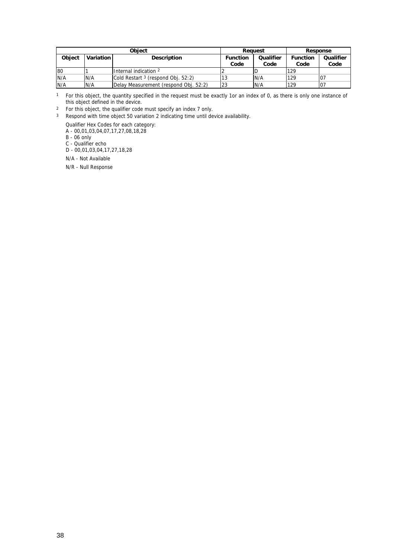|               | <b>Object</b> |                                               |                 | Reauest   | Response        |           |
|---------------|---------------|-----------------------------------------------|-----------------|-----------|-----------------|-----------|
| <b>Object</b> | Variation     | <b>Description</b>                            | <b>Function</b> | Qualifier | <b>Function</b> | Qualifier |
|               |               |                                               | Code            | Code      | Code            | Code      |
| 80            |               | Internal indication 2                         |                 |           | 129             |           |
| N/A           | N/A           | Cold Restart <sup>3</sup> (respond Obj. 52:2) |                 | N/A       | 129             | 107       |
| N/A           | N/A           | Delay Measurement (respond Obj. 52:2)         | 23              | N/A       | 129             | 07        |

<sup>1</sup> For this object, the quantity specified in the request must be exactly 1or an index of 0, as there is only one instance of this object defined in the device.

2 For this object, the qualifier code must specify an index 7 only.

3 Respond with time object 50 variation 2 indicating time until device availability.

Qualifier Hex Codes for each category:

A - 00,01,03,04,07,17,27,08,18,28

B - 06 only

C - Qualifier echo

D - 00,01,03,04,17,27,18,28

N/A - Not Available

N/R - Null Response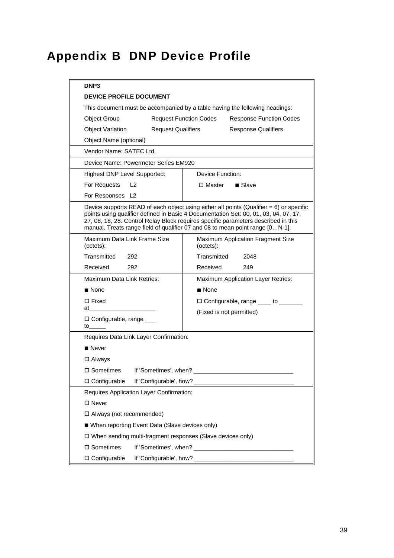# <span id="page-38-0"></span>Appendix B DNP Device Profile

| DNP <sub>3</sub>                                                                                                                                                                                                                                                                                                                                       |                                                                                                    |  |  |  |  |
|--------------------------------------------------------------------------------------------------------------------------------------------------------------------------------------------------------------------------------------------------------------------------------------------------------------------------------------------------------|----------------------------------------------------------------------------------------------------|--|--|--|--|
| <b>DEVICE PROFILE DOCUMENT</b>                                                                                                                                                                                                                                                                                                                         |                                                                                                    |  |  |  |  |
|                                                                                                                                                                                                                                                                                                                                                        | This document must be accompanied by a table having the following headings:                        |  |  |  |  |
| Object Group                                                                                                                                                                                                                                                                                                                                           | <b>Request Function Codes</b><br><b>Response Function Codes</b>                                    |  |  |  |  |
| <b>Object Variation</b><br><b>Request Qualifiers</b>                                                                                                                                                                                                                                                                                                   | <b>Response Qualifiers</b>                                                                         |  |  |  |  |
| Object Name (optional)                                                                                                                                                                                                                                                                                                                                 |                                                                                                    |  |  |  |  |
| Vendor Name: SATEC Ltd.                                                                                                                                                                                                                                                                                                                                |                                                                                                    |  |  |  |  |
| Device Name: Powermeter Series EM920                                                                                                                                                                                                                                                                                                                   |                                                                                                    |  |  |  |  |
| <b>Highest DNP Level Supported:</b>                                                                                                                                                                                                                                                                                                                    | Device Function:                                                                                   |  |  |  |  |
| For Requests<br>L <sub>2</sub>                                                                                                                                                                                                                                                                                                                         | □ Master<br>$\blacksquare$ Slave                                                                   |  |  |  |  |
| For Responses L2                                                                                                                                                                                                                                                                                                                                       |                                                                                                    |  |  |  |  |
| Device supports READ of each object using either all points (Qualifier = 6) or specific<br>points using qualifier defined in Basic 4 Documentation Set: 00, 01, 03, 04, 07, 17,<br>27, 08, 18, 28. Control Relay Block requires specific parameters described in this<br>manual. Treats range field of qualifier 07 and 08 to mean point range [0N-1]. |                                                                                                    |  |  |  |  |
| Maximum Data Link Frame Size<br>(octets):                                                                                                                                                                                                                                                                                                              | Maximum Application Fragment Size<br>(octets):                                                     |  |  |  |  |
| Transmitted<br>292                                                                                                                                                                                                                                                                                                                                     | Transmitted<br>2048                                                                                |  |  |  |  |
| Received<br>292                                                                                                                                                                                                                                                                                                                                        | Received<br>249                                                                                    |  |  |  |  |
| Maximum Data Link Retries:                                                                                                                                                                                                                                                                                                                             | Maximum Application Layer Retries:<br>$\blacksquare$ None<br>□ Configurable, range ____ to _______ |  |  |  |  |
| $\blacksquare$ None                                                                                                                                                                                                                                                                                                                                    |                                                                                                    |  |  |  |  |
| $\Box$ Fixed<br>at                                                                                                                                                                                                                                                                                                                                     |                                                                                                    |  |  |  |  |
| $\Box$ Configurable, range $\_\_$<br>$\mathsf{to}$                                                                                                                                                                                                                                                                                                     | (Fixed is not permitted)                                                                           |  |  |  |  |
| Requires Data Link Layer Confirmation:                                                                                                                                                                                                                                                                                                                 |                                                                                                    |  |  |  |  |
| $\blacksquare$ Never                                                                                                                                                                                                                                                                                                                                   |                                                                                                    |  |  |  |  |
| $\square$ Always                                                                                                                                                                                                                                                                                                                                       |                                                                                                    |  |  |  |  |
| □ Sometimes<br>If 'Sometimes', when?                                                                                                                                                                                                                                                                                                                   |                                                                                                    |  |  |  |  |
| □ Configurable                                                                                                                                                                                                                                                                                                                                         |                                                                                                    |  |  |  |  |
|                                                                                                                                                                                                                                                                                                                                                        | Requires Application Layer Confirmation:                                                           |  |  |  |  |
| $\square$ Never                                                                                                                                                                                                                                                                                                                                        |                                                                                                    |  |  |  |  |
| □ Always (not recommended)                                                                                                                                                                                                                                                                                                                             |                                                                                                    |  |  |  |  |
|                                                                                                                                                                                                                                                                                                                                                        | ■ When reporting Event Data (Slave devices only)                                                   |  |  |  |  |
|                                                                                                                                                                                                                                                                                                                                                        | $\Box$ When sending multi-fragment responses (Slave devices only)                                  |  |  |  |  |
| $\square$ Sometimes                                                                                                                                                                                                                                                                                                                                    |                                                                                                    |  |  |  |  |
| □ Configurable                                                                                                                                                                                                                                                                                                                                         |                                                                                                    |  |  |  |  |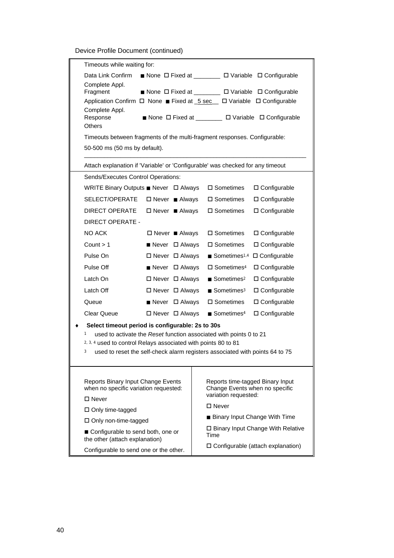Device Profile Document (continued)

|  | Timeouts while waiting for:                                                                                                                                                                                                                                                        |  |                                       |                                                                                                               |                     |  |
|--|------------------------------------------------------------------------------------------------------------------------------------------------------------------------------------------------------------------------------------------------------------------------------------|--|---------------------------------------|---------------------------------------------------------------------------------------------------------------|---------------------|--|
|  | Data Link Confirm                                                                                                                                                                                                                                                                  |  |                                       | ■ None ロ Fixed at ________ ロ Variable ロ Configurable                                                          |                     |  |
|  | Complete Appl.<br>Fragment                                                                                                                                                                                                                                                         |  |                                       | ■ None ロ Fixed at ________ ロ Variable ロ Configurable                                                          |                     |  |
|  | Application Confirm $\Box$ None Fixed at $\underline{5 \text{ sec}}$ $\Box$ Variable $\Box$ Configurable                                                                                                                                                                           |  |                                       |                                                                                                               |                     |  |
|  | Complete Appl.<br>Response<br>Others                                                                                                                                                                                                                                               |  |                                       | ■ None ロ Fixed at ________ ロ Variable ロ Configurable                                                          |                     |  |
|  | Timeouts between fragments of the multi-fragment responses. Configurable:                                                                                                                                                                                                          |  |                                       |                                                                                                               |                     |  |
|  | 50-500 ms (50 ms by default).                                                                                                                                                                                                                                                      |  |                                       |                                                                                                               |                     |  |
|  | Attach explanation if 'Variable' or 'Configurable' was checked for any timeout                                                                                                                                                                                                     |  |                                       |                                                                                                               |                     |  |
|  | Sends/Executes Control Operations:                                                                                                                                                                                                                                                 |  |                                       |                                                                                                               |                     |  |
|  | WRITE Binary Outputs ■ Never ロ Always                                                                                                                                                                                                                                              |  |                                       | $\square$ Sometimes                                                                                           | □ Configurable      |  |
|  | SELECT/OPERATE                                                                                                                                                                                                                                                                     |  | $\Box$ Never Always                   | $\square$ Sometimes                                                                                           | $\Box$ Configurable |  |
|  | <b>DIRECT OPERATE</b>                                                                                                                                                                                                                                                              |  | $\Box$ Never Always                   | □ Sometimes                                                                                                   | □ Configurable      |  |
|  | <b>DIRECT OPERATE -</b>                                                                                                                                                                                                                                                            |  |                                       |                                                                                                               |                     |  |
|  | NO ACK                                                                                                                                                                                                                                                                             |  | $\Box$ Never Always                   | $\square$ Sometimes                                                                                           | □ Configurable      |  |
|  | Count $> 1$                                                                                                                                                                                                                                                                        |  | $\blacksquare$ Never $\square$ Always | □ Sometimes                                                                                                   | □ Configurable      |  |
|  | Pulse On                                                                                                                                                                                                                                                                           |  | $\Box$ Never $\Box$ Always            | Sometimes <sup>1,4</sup> $\Box$ Configurable                                                                  |                     |  |
|  | Pulse Off                                                                                                                                                                                                                                                                          |  | $\blacksquare$ Never $\Box$ Always    | $\square$ Sometimes <sup>4</sup>                                                                              | □ Configurable      |  |
|  | Latch On                                                                                                                                                                                                                                                                           |  | $\Box$ Never $\Box$ Always            | $\blacksquare$ Sometimes <sup>2</sup>                                                                         | □ Configurable      |  |
|  | Latch Off                                                                                                                                                                                                                                                                          |  | $\Box$ Never $\Box$ Always            | $\blacksquare$ Sometimes <sup>3</sup>                                                                         | □ Configurable      |  |
|  | Queue                                                                                                                                                                                                                                                                              |  | Never $\Box$ Always                   | $\square$ Sometimes                                                                                           | □ Configurable      |  |
|  | <b>Clear Queue</b>                                                                                                                                                                                                                                                                 |  | $\Box$ Never $\Box$ Always            | $\blacksquare$ Sometimes <sup>4</sup>                                                                         | □ Configurable      |  |
|  | Select timeout period is configurable: 2s to 30s<br>1<br>used to activate the Reset function associated with points 0 to 21<br>2, 3, 4 used to control Relays associated with points 80 to 81<br>3<br>used to reset the self-check alarm registers associated with points 64 to 75 |  |                                       |                                                                                                               |                     |  |
|  | Reports Binary Input Change Events<br>when no specific variation requested:<br>$\square$ Never<br>$\Box$ Only time-tagged<br>□ Only non-time-tagged<br>■ Configurable to send both, one or<br>the other (attach explanation)                                                       |  |                                       | Reports time-tagged Binary Input<br>Change Events when no specific<br>variation requested:<br>$\square$ Never |                     |  |
|  |                                                                                                                                                                                                                                                                                    |  |                                       | <b>Binary Input Change With Time</b>                                                                          |                     |  |
|  |                                                                                                                                                                                                                                                                                    |  |                                       | □ Binary Input Change With Relative<br>Time                                                                   |                     |  |
|  | Configurable to send one or the other.                                                                                                                                                                                                                                             |  |                                       | $\square$ Configurable (attach explanation)                                                                   |                     |  |